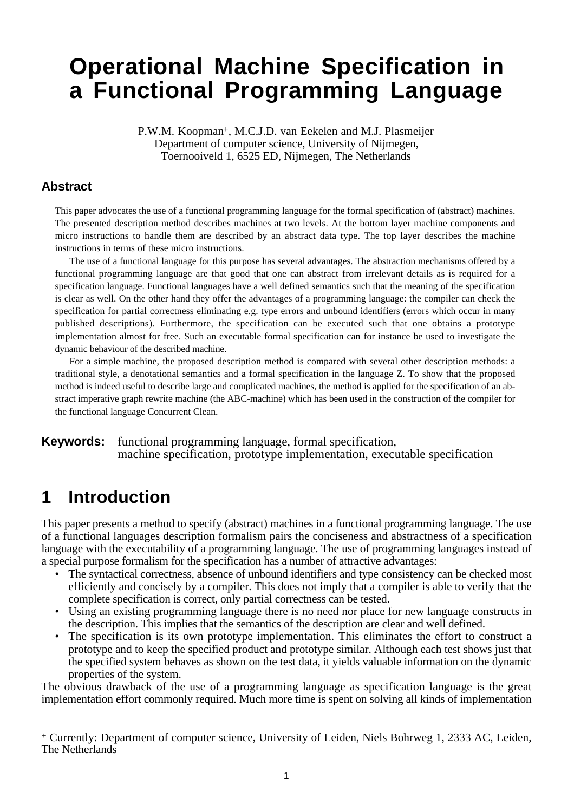# **Operational Machine Specification in a Functional Programming Language**

P.W.M. Koopman+, M.C.J.D. van Eekelen and M.J. Plasmeijer Department of computer science, University of Nijmegen, Toernooiveld 1, 6525 ED, Nijmegen, The Netherlands

#### **Abstract**

This paper advocates the use of a functional programming language for the formal specification of (abstract) machines. The presented description method describes machines at two levels. At the bottom layer machine components and micro instructions to handle them are described by an abstract data type. The top layer describes the machine instructions in terms of these micro instructions.

The use of a functional language for this purpose has several advantages. The abstraction mechanisms offered by a functional programming language are that good that one can abstract from irrelevant details as is required for a specification language. Functional languages have a well defined semantics such that the meaning of the specification is clear as well. On the other hand they offer the advantages of a programming language: the compiler can check the specification for partial correctness eliminating e.g. type errors and unbound identifiers (errors which occur in many published descriptions). Furthermore, the specification can be executed such that one obtains a prototype implementation almost for free. Such an executable formal specification can for instance be used to investigate the dynamic behaviour of the described machine.

For a simple machine, the proposed description method is compared with several other description methods: a traditional style, a denotational semantics and a formal specification in the language Z. To show that the proposed method is indeed useful to describe large and complicated machines, the method is applied for the specification of an abstract imperative graph rewrite machine (the ABC-machine) which has been used in the construction of the compiler for the functional language Concurrent Clean.

**Keywords:** functional programming language, formal specification, machine specification, prototype implementation, executable specification

# **1 Introduction**

This paper presents a method to specify (abstract) machines in a functional programming language. The use of a functional languages description formalism pairs the conciseness and abstractness of a specification language with the executability of a programming language. The use of programming languages instead of a special purpose formalism for the specification has a number of attractive advantages:

- The syntactical correctness, absence of unbound identifiers and type consistency can be checked most efficiently and concisely by a compiler. This does not imply that a compiler is able to verify that the complete specification is correct, only partial correctness can be tested.
- Using an existing programming language there is no need nor place for new language constructs in the description. This implies that the semantics of the description are clear and well defined.
- The specification is its own prototype implementation. This eliminates the effort to construct a prototype and to keep the specified product and prototype similar. Although each test shows just that the specified system behaves as shown on the test data, it yields valuable information on the dynamic properties of the system.

The obvious drawback of the use of a programming language as specification language is the great implementation effort commonly required. Much more time is spent on solving all kinds of implementation

<sup>+</sup> Currently: Department of computer science, University of Leiden, Niels Bohrweg 1, 2333 AC, Leiden, The Netherlands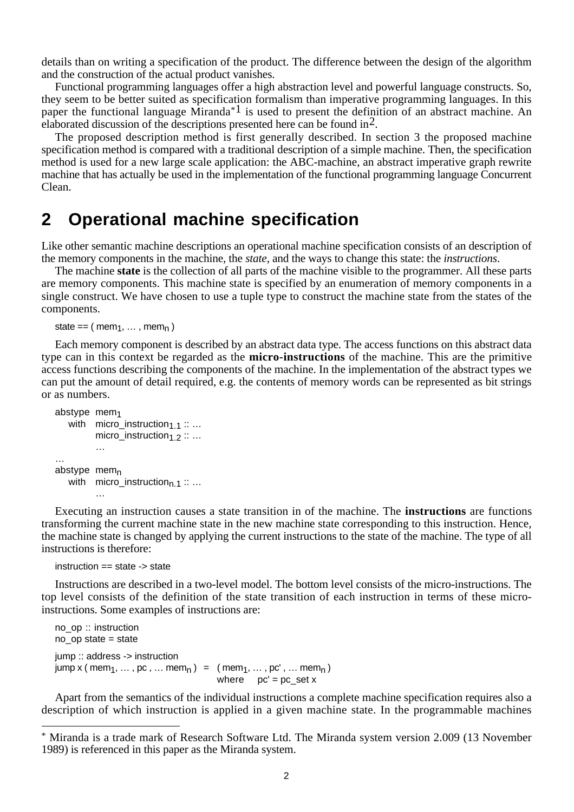details than on writing a specification of the product. The difference between the design of the algorithm and the construction of the actual product vanishes.

Functional programming languages offer a high abstraction level and powerful language constructs. So, they seem to be better suited as specification formalism than imperative programming languages. In this paper the functional language Miranda<sup>\*1</sup> is used to present the definition of an abstract machine. An elaborated discussion of the descriptions presented here can be found in2.

The proposed description method is first generally described. In section 3 the proposed machine specification method is compared with a traditional description of a simple machine. Then, the specification method is used for a new large scale application: the ABC-machine, an abstract imperative graph rewrite machine that has actually be used in the implementation of the functional programming language Concurrent Clean.

# **2 Operational machine specification**

Like other semantic machine descriptions an operational machine specification consists of an description of the memory components in the machine, the *state*, and the ways to change this state: the *instructions*.

The machine **state** is the collection of all parts of the machine visible to the programmer. All these parts are memory components. This machine state is specified by an enumeration of memory components in a single construct. We have chosen to use a tuple type to construct the machine state from the states of the components.

```
state == ( mem<sub>1</sub>, ..., mem<sub>n</sub> )
```
Each memory component is described by an abstract data type. The access functions on this abstract data type can in this context be regarded as the **micro-instructions** of the machine. This are the primitive access functions describing the components of the machine. In the implementation of the abstract types we can put the amount of detail required, e.g. the contents of memory words can be represented as bit strings or as numbers.

```
abstype mem<sub>1</sub>
   with micro_instruction<sub>1.1</sub> :: ...
            micro_instruction<sub>1.2</sub> :: ...
            …
…
abstype memnwith micro_instruction<sub>n.1</sub> :: ...
            …
```
Executing an instruction causes a state transition in of the machine. The **instructions** are functions transforming the current machine state in the new machine state corresponding to this instruction. Hence, the machine state is changed by applying the current instructions to the state of the machine. The type of all instructions is therefore:

instruction == state -> state

Instructions are described in a two-level model. The bottom level consists of the micro-instructions. The top level consists of the definition of the state transition of each instruction in terms of these microinstructions. Some examples of instructions are:

```
no_op :: instruction
no op state = state
jump :: address -> instruction
jump x ( mem_1, ..., pc, ... mem_n) = (mem_1, ..., pc', ... mem_n)where pc' = pc set x
```
Apart from the semantics of the individual instructions a complete machine specification requires also a description of which instruction is applied in a given machine state. In the programmable machines

Miranda is a trade mark of Research Software Ltd. The Miranda system version 2.009 (13 November 1989) is referenced in this paper as the Miranda system.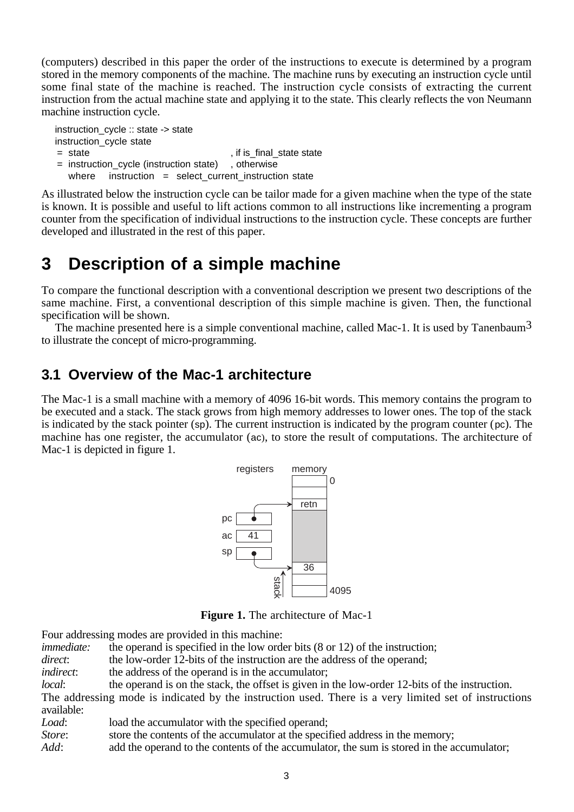(computers) described in this paper the order of the instructions to execute is determined by a program stored in the memory components of the machine. The machine runs by executing an instruction cycle until some final state of the machine is reached. The instruction cycle consists of extracting the current instruction from the actual machine state and applying it to the state. This clearly reflects the von Neumann machine instruction cycle.

```
instruction_cycle :: state -> state
instruction_cycle state
= state , if is_final_state state
= instruction cycle (instruction state), otherwise
   where \overline{\phantom{a}} instruction = select current instruction state
```
As illustrated below the instruction cycle can be tailor made for a given machine when the type of the state is known. It is possible and useful to lift actions common to all instructions like incrementing a program counter from the specification of individual instructions to the instruction cycle. These concepts are further developed and illustrated in the rest of this paper.

# **3 Description of a simple machine**

To compare the functional description with a conventional description we present two descriptions of the same machine. First, a conventional description of this simple machine is given. Then, the functional specification will be shown.

The machine presented here is a simple conventional machine, called Mac-1. It is used by Tanenbaum<sup>3</sup> to illustrate the concept of micro-programming.

# **3.1 Overview of the Mac-1 architecture**

The Mac-1 is a small machine with a memory of 4096 16-bit words. This memory contains the program to be executed and a stack. The stack grows from high memory addresses to lower ones. The top of the stack is indicated by the stack pointer (sp). The current instruction is indicated by the program counter (pc). The machine has one register, the accumulator (ac), to store the result of computations. The architecture of Mac-1 is depicted in figure 1.



**Figure 1.** The architecture of Mac-1

Four addressing modes are provided in this machine:

| immediate: | the operand is specified in the low order bits $(8 \text{ or } 12)$ of the instruction;               |
|------------|-------------------------------------------------------------------------------------------------------|
| direct:    | the low-order 12-bits of the instruction are the address of the operand;                              |
| indirect:  | the address of the operand is in the accumulator;                                                     |
| local:     | the operand is on the stack, the offset is given in the low-order 12-bits of the instruction.         |
|            | The addressing mode is indicated by the instruction used. There is a very limited set of instructions |
| available: |                                                                                                       |
| Load:      | load the accumulator with the specified operand;                                                      |
| Store:     | store the contents of the accumulator at the specified address in the memory;                         |
| Add:       | add the operand to the contents of the accumulator, the sum is stored in the accumulator;             |
|            |                                                                                                       |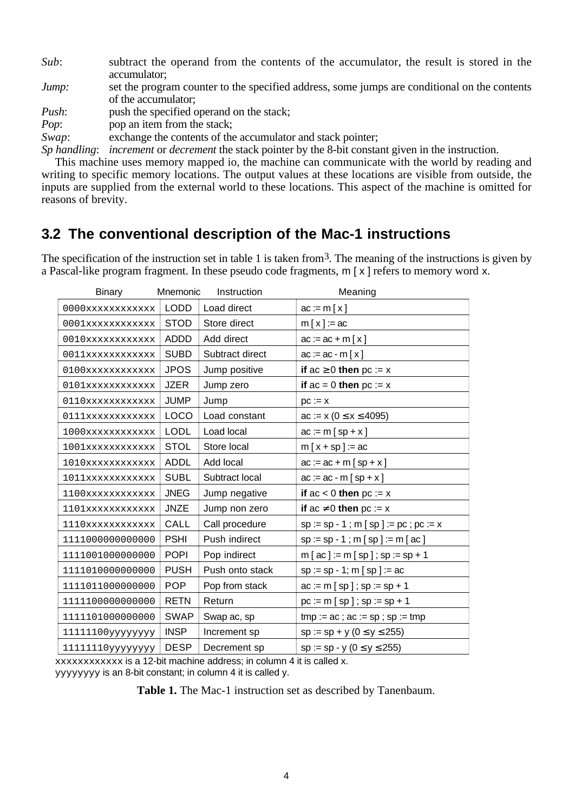*Sub*: subtract the operand from the contents of the accumulator, the result is stored in the accumulator;

*Jump*: set the program counter to the specified address, some jumps are conditional on the contents of the accumulator;

*Push*: push the specified operand on the stack;

*Pop*: pop an item from the stack:

*Swap*: exchange the contents of the accumulator and stack pointer;

*Sp handling*: *increment* or *decrement* the stack pointer by the 8-bit constant given in the instruction.

This machine uses memory mapped io, the machine can communicate with the world by reading and writing to specific memory locations. The output values at these locations are visible from outside, the inputs are supplied from the external world to these locations. This aspect of the machine is omitted for reasons of brevity.

# **3.2 The conventional description of the Mac-1 instructions**

The specification of the instruction set in table 1 is taken from<sup>3</sup>. The meaning of the instructions is given by a Pascal-like program fragment. In these pseudo code fragments, m [ x ] refers to memory word x.

| <b>Binary</b>    | Mnemonic    | Instruction     | Meaning                                     |
|------------------|-------------|-----------------|---------------------------------------------|
| 0000xxxxxxxxxxxx | <b>LODD</b> | Load direct     | $ac := m[x]$                                |
| 0001xxxxxxxxxxxx | <b>STOD</b> | Store direct    | $m[x] := ac$                                |
| 0010xxxxxxxxxxxx | <b>ADDD</b> | Add direct      | $ac := ac + m[x]$                           |
| 0011xxxxxxxxxxxx | <b>SUBD</b> | Subtract direct | $ac := ac - m[x]$                           |
| 0100xxxxxxxxxxxx | <b>JPOS</b> | Jump positive   | if $ac \ge 0$ then $pc := x$                |
| 0101xxxxxxxxxxxx | <b>JZER</b> | Jump zero       | if $ac = 0$ then $pc := x$                  |
| 0110xxxxxxxxxxxx | <b>JUMP</b> | Jump            | $pc := x$                                   |
| 0111xxxxxxxxxxxx | <b>LOCO</b> | Load constant   | $ac := x (0 \le x \le 4095)$                |
| 1000xxxxxxxxxxxx | <b>LODL</b> | Load local      | $ac := m[sp + x]$                           |
| 1001xxxxxxxxxxxx | <b>STOL</b> | Store local     | $m[x + sp] = ac$                            |
| 1010xxxxxxxxxxxx | <b>ADDL</b> | Add local       | $ac := ac + m [sp + x]$                     |
| 1011xxxxxxxxxxxx | <b>SUBL</b> | Subtract local  | $ac := ac - m [sp + x]$                     |
| 1100xxxxxxxxxxxx | <b>JNEG</b> | Jump negative   | if $ac < 0$ then $pc := x$                  |
| 1101xxxxxxxxxxxx | <b>JNZE</b> | Jump non zero   | if $ac \neq 0$ then $pc := x$               |
| 1110xxxxxxxxxxxx | CALL        | Call procedure  | $sp := sp - 1$ ; $m [sp] := pc$ ; $pc := x$ |
| 111100000000000  | <b>PSHI</b> | Push indirect   | $sp := sp - 1$ ; $m [sp] := m [ac]$         |
| 1111001000000000 | <b>POPI</b> | Pop indirect    | $m [ac] := m [sp]; sp := sp + 1$            |
| 1111010000000000 | <b>PUSH</b> | Push onto stack | $sp := sp - 1$ ; m [sp] := ac               |
| 1111011000000000 | <b>POP</b>  | Pop from stack  | $ac := m [ sp ]$ ; sp := sp + 1             |
| 1111100000000000 | <b>RETN</b> | Return          | $pc := m [ sp ]$ ; sp := sp + 1             |
| 1111101000000000 | <b>SWAP</b> | Swap ac, sp     | $tmp := ac$ ; $ac := sp$ ; $sp := tmp$      |
| 11111100yyyyyyy  | <b>INSP</b> | Increment sp    | sp := sp + y ( $0 \le y \le 255$ )          |
| 11111110yyyyyyy  | <b>DESP</b> | Decrement sp    | sp := sp - y ( $0 \le y \le 255$ )          |

xxxxxxxxxxxx is a 12-bit machine address; in column 4 it is called x. yyyyyyyy is an 8-bit constant; in column 4 it is called y.

**Table 1.** The Mac-1 instruction set as described by Tanenbaum.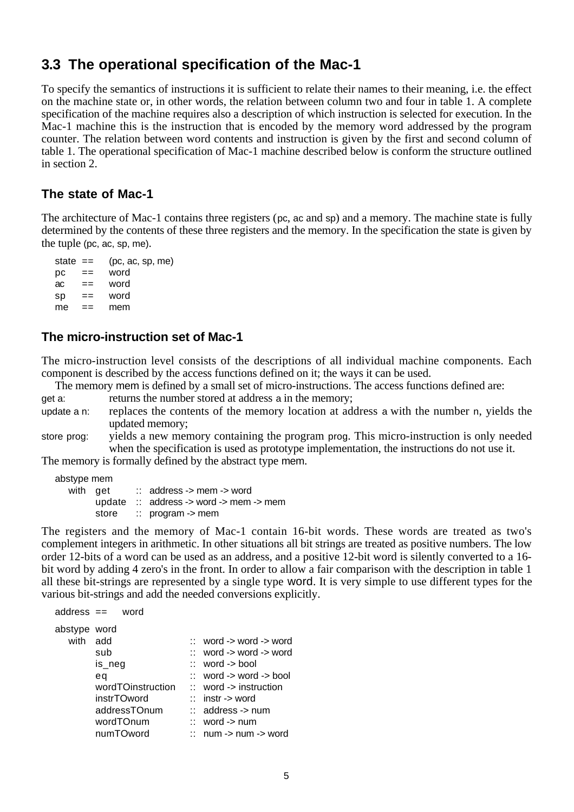# **3.3 The operational specification of the Mac-1**

To specify the semantics of instructions it is sufficient to relate their names to their meaning, i.e. the effect on the machine state or, in other words, the relation between column two and four in table 1. A complete specification of the machine requires also a description of which instruction is selected for execution. In the Mac-1 machine this is the instruction that is encoded by the memory word addressed by the program counter. The relation between word contents and instruction is given by the first and second column of table 1. The operational specification of Mac-1 machine described below is conform the structure outlined in section 2.

### **The state of Mac-1**

The architecture of Mac-1 contains three registers (pc, ac and sp) and a memory. The machine state is fully determined by the contents of these three registers and the memory. In the specification the state is given by the tuple (pc, ac, sp, me).

state  $==$  (pc, ac, sp, me) pc == word  $ac =$  word  $SD = =$  word  $me$   $==$  mem

### **The micro-instruction set of Mac-1**

The micro-instruction level consists of the descriptions of all individual machine components. Each component is described by the access functions defined on it; the ways it can be used.

The memory mem is defined by a small set of micro-instructions. The access functions defined are:

get a: returns the number stored at address a in the memory;

update a n: replaces the contents of the memory location at address a with the number n, yields the updated memory;

store prog: yields a new memory containing the program prog. This micro-instruction is only needed when the specification is used as prototype implementation, the instructions do not use it.

The memory is formally defined by the abstract type mem.

| abstype mem |       |                                                   |
|-------------|-------|---------------------------------------------------|
| with aet    |       | $\therefore$ address -> mem -> word               |
|             |       | update $\therefore$ address -> word -> mem -> mem |
|             | store | $\therefore$ program -> mem                       |

The registers and the memory of Mac-1 contain 16-bit words. These words are treated as two's complement integers in arithmetic. In other situations all bit strings are treated as positive numbers. The low order 12-bits of a word can be used as an address, and a positive 12-bit word is silently converted to a 16 bit word by adding 4 zero's in the front. In order to allow a fair comparison with the description in table 1 all these bit-strings are represented by a single type word. It is very simple to use different types for the various bit-strings and add the needed conversions explicitly.

| $address ==$ | word              |                                   |
|--------------|-------------------|-----------------------------------|
| abstype word |                   |                                   |
| with         | add               | $\therefore$ word -> word -> word |
|              | sub               | $\therefore$ word -> word -> word |
|              | is neg            | $\therefore$ word -> bool         |
|              | eq                | $\therefore$ word -> word -> bool |
|              | wordTOinstruction | $\therefore$ word -> instruction  |
|              | instrTOword       | $\therefore$ instr -> word        |
|              | addressTOnum      | $\therefore$ address -> num       |
|              | wordTOnum         | $\therefore$ word -> num          |
|              | numTOword         | $\therefore$ num -> num -> word   |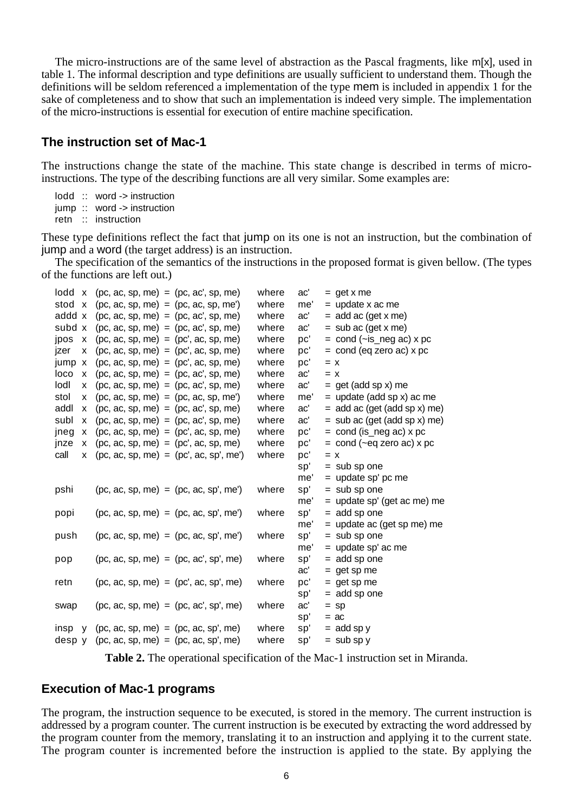The micro-instructions are of the same level of abstraction as the Pascal fragments, like m[x], used in table 1. The informal description and type definitions are usually sufficient to understand them. Though the definitions will be seldom referenced a implementation of the type mem is included in appendix 1 for the sake of completeness and to show that such an implementation is indeed very simple. The implementation of the micro-instructions is essential for execution of entire machine specification.

#### **The instruction set of Mac-1**

The instructions change the state of the machine. This state change is described in terms of microinstructions. The type of the describing functions are all very similar. Some examples are:

lodd :: word -> instruction jump :: word -> instruction retn :: instruction

These type definitions reflect the fact that jump on its one is not an instruction, but the combination of jump and a word (the target address) is an instruction.

The specification of the semantics of the instructions in the proposed format is given bellow. (The types of the functions are left out.)

| lodd<br>X            | $(pc, ac, sp, me) = (pc, ac', sp, me)$        | where | ac' | $=$ get x me                       |
|----------------------|-----------------------------------------------|-------|-----|------------------------------------|
| stod<br>$\mathbf{x}$ | $(pc, ac, sp, me) = (pc, ac, sp, me)$         | where | me' | $=$ update x ac me                 |
| addd x               | $(pc, ac, sp, me) = (pc, ac', sp, me)$        | where | ac' | $=$ add ac (get x me)              |
| subd x               | $(pc, ac, sp, me) = (pc, ac', sp, me)$        | where | ac' | $=$ sub ac (get x me)              |
| jpos<br>X            | $(pc, ac, sp, me) = (pc', ac, sp, me)$        | where | pc' | $=$ cond ( $\sim$ is_neg ac) x pc  |
| jzer<br>X            | $(pc, ac, sp, me) = (pc', ac, sp, me)$        | where | pc' | $=$ cond (eq zero ac) x pc         |
| jump<br>X            | $(pc, ac, sp, me) = (pc', ac, sp, me)$        | where | pc' | $= x$                              |
| loco<br>X            | $(pc, ac, sp, me) = (pc, ac', sp, me)$        | where | ac' | $= x$                              |
| lodl<br>X            | $(pc, ac, sp, me) = (pc, ac', sp, me)$        | where | ac' | $=$ get (add sp x) me              |
| stol<br>X            | $(pc, ac, sp, me) = (pc, ac, sp, me)$         | where | me' | $=$ update (add sp x) ac me        |
| addl<br>X            | $(pc, ac, sp, me) = (pc, ac', sp, me)$        | where | ac' | $=$ add ac (get (add sp x) me)     |
| subl<br>X            | $(pc, ac, sp, me) = (pc, ac', sp, me)$        | where | ac' | $=$ sub ac (get (add sp x) me)     |
| jneg<br>X            | $(pc, ac, sp, me) = (pc', ac, sp, me)$        | where | pc' | $=$ cond (is_neg ac) x pc          |
| jnze<br>x            | $(pc, ac, sp, me) = (pc', ac, sp, me)$        | where | pc' | $=$ cond ( $\sim$ eq zero ac) x pc |
| call<br>X            | $(pc, ac, sp, me) = (pc, ac, sp', me')$       | where | pc' | $= x$                              |
|                      |                                               |       | sp' | $=$ sub sp one                     |
|                      |                                               |       | me' | = update sp' pc me                 |
| pshi                 | $(pc, ac, sp, me) = (pc, ac, sp', me')$       | where | sp' | $=$ sub sp one                     |
|                      |                                               |       | me' | $=$ update sp' (get ac me) me      |
| popi                 | $(pc, ac, sp, me) = (pc, ac, sp', me')$       | where | sp' | $=$ add sp one                     |
|                      |                                               |       | me' | $=$ update ac (get sp me) me       |
| push                 | $(pc, ac, sp, me) = (pc, ac, sp', me')$       | where | sp' | $=$ sub sp one                     |
|                      |                                               |       | me' | $=$ update sp' ac me               |
| pop                  | $(pc, ac, sp, me) = (pc, ac', sp', me)$       | where | sp' | $=$ add sp one                     |
|                      |                                               |       | ac' | $=$ get sp me                      |
| retn                 | $(pc, ac, sp, me) = (pc', ac, sp', me)$       | where | pc' | $=$ get sp me                      |
|                      |                                               |       | sp' | $=$ add sp one                     |
| swap                 | $(pc, ac, sp, me) = (pc, ac', sp', me)$       | where | ac' | $=$ sp                             |
|                      |                                               |       | sp' | $= ac$                             |
| insp<br>$\mathsf{V}$ | $(pc, ac, sp, me) = (pc, ac, sp', me)$        | where | sp' | $=$ add sp $y$                     |
|                      | desp $y$ (pc, ac, sp, me) = (pc, ac, sp', me) | where | sp' | $=$ sub sp $y$                     |
|                      |                                               |       |     |                                    |

**Table 2.** The operational specification of the Mac-1 instruction set in Miranda.

#### **Execution of Mac-1 programs**

The program, the instruction sequence to be executed, is stored in the memory. The current instruction is addressed by a program counter. The current instruction is be executed by extracting the word addressed by the program counter from the memory, translating it to an instruction and applying it to the current state. The program counter is incremented before the instruction is applied to the state. By applying the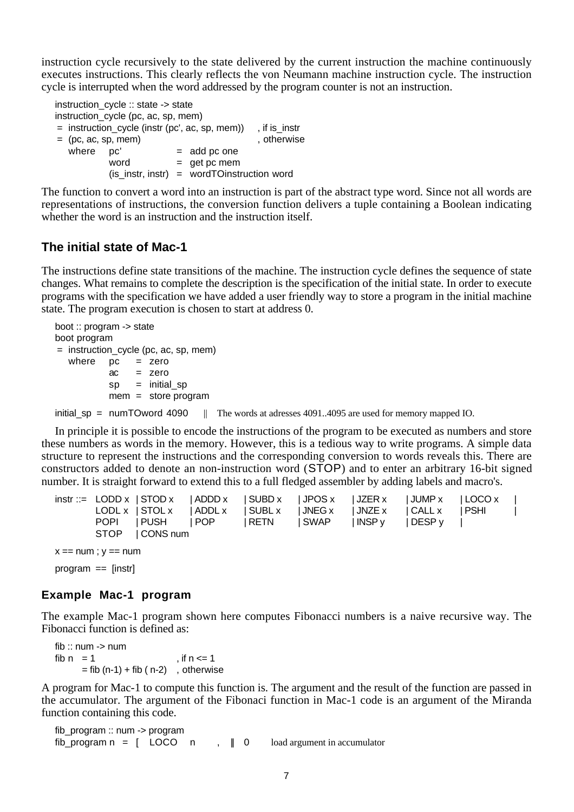instruction cycle recursively to the state delivered by the current instruction the machine continuously executes instructions. This clearly reflects the von Neumann machine instruction cycle. The instruction cycle is interrupted when the word addressed by the program counter is not an instruction.

instruction\_cycle :: state -> state instruction cycle (pc, ac, sp, mem)  $=$  instruction cycle (instr (pc', ac, sp, mem)) , if is instr  $=$  (pc, ac, sp, mem) , otherwise where  $pc'$  = add pc one word  $=$  get pc mem (is instr, instr) = wordTOinstruction word

The function to convert a word into an instruction is part of the abstract type word. Since not all words are representations of instructions, the conversion function delivers a tuple containing a Boolean indicating whether the word is an instruction and the instruction itself.

### **The initial state of Mac-1**

The instructions define state transitions of the machine. The instruction cycle defines the sequence of state changes. What remains to complete the description is the specification of the initial state. In order to execute programs with the specification we have added a user friendly way to store a program in the initial machine state. The program execution is chosen to start at address 0.

```
boot :: program -> state
boot program
 = instruction_cycle (pc, ac, sp, mem)
  where pc = zeroac = zerosp = initialspmem = store program
initial_sp = numTOword 4090 \parallel The words at adresses 4091..4095 are used for memory mapped IO.
```
In principle it is possible to encode the instructions of the program to be executed as numbers and store

these numbers as words in the memory. However, this is a tedious way to write programs. A simple data structure to represent the instructions and the corresponding conversion to words reveals this. There are constructors added to denote an non-instruction word (STOP) and to enter an arbitrary 16-bit signed number. It is straight forward to extend this to a full fledged assembler by adding labels and macro's.

 $instr ::=$   $LODD x$  |  $STOD x$  |  $ADDD x$  |  $SUBD x$  |  $JPOS x$  |  $JZER x$  |  $JUMP x$  |  $LOCO x$ LODL x | STOL x | ADDL x | SUBL x | JNEG x | JNZE x | CALL x | PSHI | POPI | PUSH | POP | RETN | SWAP | INSP y | DESP y | STOP | CONS num  $x == num$ ;  $y == num$ program == [instr]

#### **Example Mac-1 program**

The example Mac-1 program shown here computes Fibonacci numbers is a naive recursive way. The Fibonacci function is defined as:

 $fib :: num \rightarrow num$  $fib n = 1$  , if  $n \le 1$  $=$  fib (n-1) + fib (n-2), otherwise

A program for Mac-1 to compute this function is. The argument and the result of the function are passed in the accumulator. The argument of the Fibonaci function in Mac-1 code is an argument of the Miranda function containing this code.

fib\_program :: num -> program fib\_program n =  $[$  LOCO n ,  $\parallel$  0 load argument in accumulator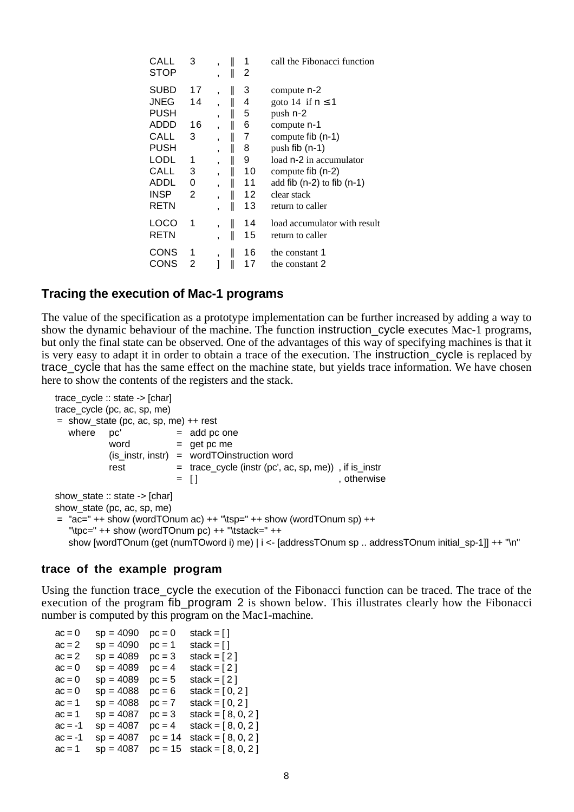| CALL<br>STOP                                                               | 3                             | ,<br>٠                                            |    | 1<br>2                                | call the Fibonacci function                                                                                                                            |
|----------------------------------------------------------------------------|-------------------------------|---------------------------------------------------|----|---------------------------------------|--------------------------------------------------------------------------------------------------------------------------------------------------------|
| SUBD<br>JNEG<br><b>PUSH</b><br>ADDD<br>CALL<br><b>PUSH</b><br>LODL<br>CALL | 17<br>14<br>16<br>3<br>1<br>3 | ,<br>٠<br>,<br>٠<br>,<br>$\overline{ }$<br>٠<br>, |    | 3<br>4<br>5<br>6<br>7<br>8<br>9<br>10 | compute n-2<br>goto 14 if $n \leq 1$<br>push n-2<br>compute n-1<br>compute fib (n-1)<br>push fib (n-1)<br>load n-2 in accumulator<br>compute fib (n-2) |
| ADDL<br><b>INSP</b><br>RETN                                                | 0<br>2                        | ,<br>,<br>,                                       |    | 11<br>12<br>13                        | add fib $(n-2)$ to fib $(n-1)$<br>clear stack<br>return to caller                                                                                      |
| LOCO<br><b>RETN</b>                                                        | 1                             | ٠.<br>,                                           | II | 14<br>15                              | load accumulator with result<br>return to caller                                                                                                       |
| CONS<br>CONS                                                               | 1<br>2                        | ,                                                 | II | 16<br>17                              | the constant 1<br>the constant 2                                                                                                                       |

#### **Tracing the execution of Mac-1 programs**

The value of the specification as a prototype implementation can be further increased by adding a way to show the dynamic behaviour of the machine. The function instruction\_cycle executes Mac-1 programs, but only the final state can be observed. One of the advantages of this way of specifying machines is that it is very easy to adapt it in order to obtain a trace of the execution. The instruction cycle is replaced by trace\_cycle that has the same effect on the machine state, but yields trace information. We have chosen here to show the contents of the registers and the stack.

```
trace_cycle :: state -> [char]
trace_cycle (pc, ac, sp, me)
= show_state (pc, ac, sp, me) ++ rest
  where pc' = add pc one
          word = get pc me
           (is_instr, instr) = wordTO instruction wordrest = trace_cycle (instr (pc', ac, sp, me)), if is_instr
                        = |] , otherwise
show_state :: state -> [char]
show_state (pc, ac, sp, me)
= "ac=" ++ show (wordTOnum ac) ++ "\tsp=" ++ show (wordTOnum sp) ++
  "\tpc=" ++ show (wordTOnum pc) ++ "\tstack=" ++
  show [wordTOnum (get (numTOword i) me) | i <- [addressTOnum sp .. addressTOnum initial_sp-1]] ++ "\n"
```
#### **trace of the example program**

Using the function trace\_cycle the execution of the Fibonacci function can be traced. The trace of the execution of the program fib\_program 2 is shown below. This illustrates clearly how the Fibonacci number is computed by this program on the Mac1-machine.

```
ac = 0 sp = 4090 pc = 0 stack = []
ac = 2 sp = 4090 pc = 1 stack = []
ac = 2 sp = 4089 pc = 3 stack = [2]
ac = 0 sp = 4089 pc = 4 stack = [2]
ac = 0 sp = 4089 pc = 5 stack = [2]
ac = 0 sp = 4088 pc = 6 stack = [0, 2]
ac = 1 sp = 4088 pc = 7 stack = [0, 2]
ac = 1 sp = 4087 pc = 3 stack = [8, 0, 2]
ac = -1 sp = 4087 pc = 4 stack = [8, 0, 2]
ac = -1 sp = 4087 pc = 14 stack = [8, 0, 2]
ac = 1 sp = 4087 pc = 15 stack = [8, 0, 2]
```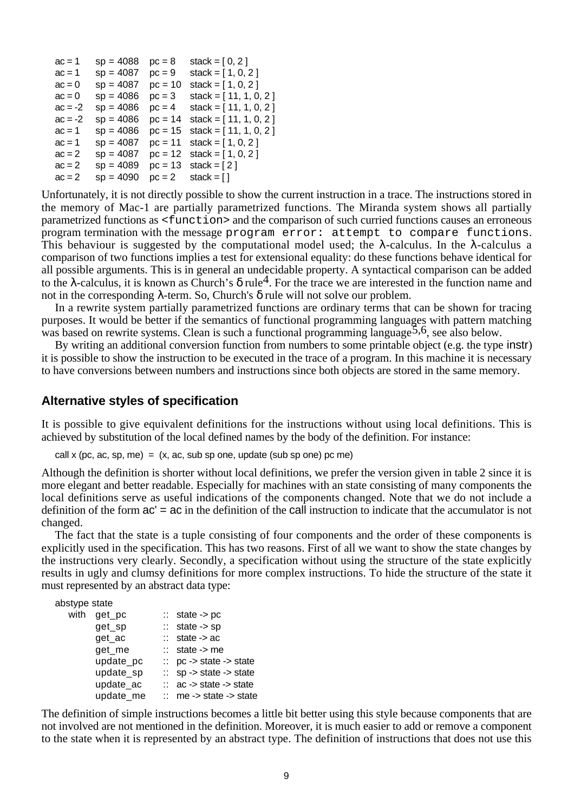```
ac = 1 sp = 4088 pc = 8 stack = [0, 2]
ac = 1 sp = 4087 pc = 9 stack = [1, 0, 2]
ac = 0 sp = 4087 pc = 10 stack = [1, 0, 2]
ac = 0 sp = 4086 pc = 3 stack = [11, 1, 0, 2]
ac = -2 sp = 4086 pc = 4 stack = [11, 1, 0, 2]
ac = -2 sp = 4086 pc = 14 stack = [11, 1, 0, 2 ]
ac = 1 sp = 4086 pc = 15 stack = [11, 1, 0, 2]
ac = 1 sp = 4087 pc = 11 stack = [1, 0, 2]
ac = 2 sp = 4087 pc = 12 stack = [1, 0, 2]
ac = 2 sp = 4089 pc = 13 stack = [2]
ac = 2 sp = 4090 pc = 2 stack = [ ]
```
Unfortunately, it is not directly possible to show the current instruction in a trace. The instructions stored in the memory of Mac-1 are partially parametrized functions. The Miranda system shows all partially parametrized functions as  $\leq$  function  $>$  and the comparison of such curried functions causes an erroneous program termination with the message program error: attempt to compare functions. This behaviour is suggested by the computational model used; the  $\lambda$ -calculus. In the  $\lambda$ -calculus a comparison of two functions implies a test for extensional equality: do these functions behave identical for all possible arguments. This is in general an undecidable property. A syntactical comparison can be added to the λ-calculus, it is known as Church's δ rule<sup>4</sup>. For the trace we are interested in the function name and not in the corresponding  $λ$ -term. So, Church's δ rule will not solve our problem.

In a rewrite system partially parametrized functions are ordinary terms that can be shown for tracing purposes. It would be better if the semantics of functional programming languages with pattern matching was based on rewrite systems. Clean is such a functional programming language  $5,6$ , see also below.

By writing an additional conversion function from numbers to some printable object (e.g. the type instr) it is possible to show the instruction to be executed in the trace of a program. In this machine it is necessary to have conversions between numbers and instructions since both objects are stored in the same memory.

#### **Alternative styles of specification**

It is possible to give equivalent definitions for the instructions without using local definitions. This is achieved by substitution of the local defined names by the body of the definition. For instance:

call x (pc, ac, sp, me) =  $(x, ac, sub sp one, update (sub sp one) pre)$  pc me)

Although the definition is shorter without local definitions, we prefer the version given in table 2 since it is more elegant and better readable. Especially for machines with an state consisting of many components the local definitions serve as useful indications of the components changed. Note that we do not include a definition of the form ac' = ac in the definition of the call instruction to indicate that the accumulator is not changed.

The fact that the state is a tuple consisting of four components and the order of these components is explicitly used in the specification. This has two reasons. First of all we want to show the state changes by the instructions very clearly. Secondly, a specification without using the structure of the state explicitly results in ugly and clumsy definitions for more complex instructions. To hide the structure of the state it must represented by an abstract data type:

```
abstype state
  with get_pc :: state -> pc
       get_sp :: state -> sp
       get_ac :: state -> ac
       get me :: state -> me
       update_pc :: pc -> state -> state
       update_sp :: sp -> state -> state
       update ac :: ac -> state -> state
       update me :: me -> state -> state
```
The definition of simple instructions becomes a little bit better using this style because components that are not involved are not mentioned in the definition. Moreover, it is much easier to add or remove a component to the state when it is represented by an abstract type. The definition of instructions that does not use this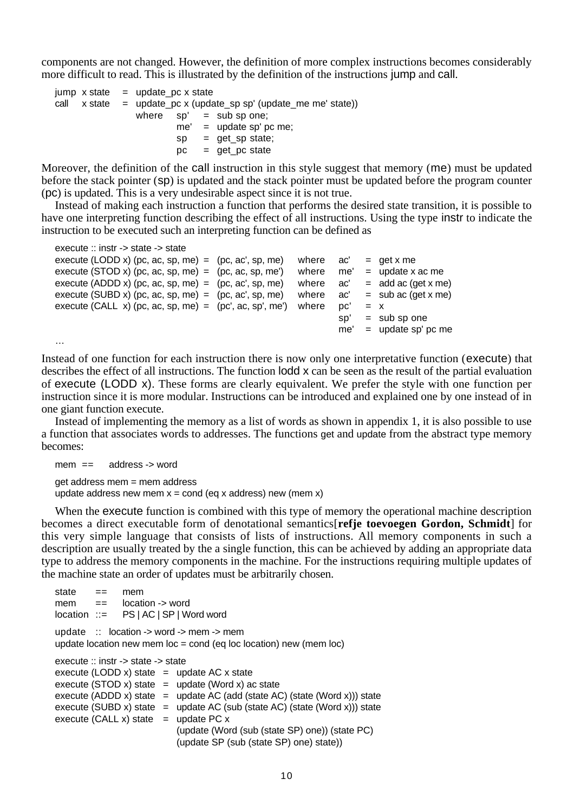components are not changed. However, the definition of more complex instructions becomes considerably more difficult to read. This is illustrated by the definition of the instructions jump and call.

jump  $x$  state = update pc  $x$  state call  $x$  state = update\_pc  $x$  (update\_sp  $sp'$  (update\_me me' state)) where  $sp' = sub sp$  one;  $me' = update sp' pc me;$  $sp = get_sp state;$  $pc = get\_pc$  state

Moreover, the definition of the call instruction in this style suggest that memory (me) must be updated before the stack pointer (sp) is updated and the stack pointer must be updated before the program counter (pc) is updated. This is a very undesirable aspect since it is not true.

Instead of making each instruction a function that performs the desired state transition, it is possible to have one interpreting function describing the effect of all instructions. Using the type instr to indicate the instruction to be executed such an interpreting function can be defined as

```
execute :: instr -> state -> state
execute (LODD x) (pc, ac, sp, me) = (pc, ac', sp, me) where ac' = qet x me
execute (STOD x) (pc, ac, sp, me) = (pc, ac, sp, me') where me' = update x ac me
execute (ADDD x) (pc, ac, sp, me) = (pc, ac', sp, me) where ac' = add \, ac (get x me)
execute (SUBD x) (pc, ac, sp, me) = (pc, ac', sp, me) where ac' = sub ac (get x me)
execute (CALL x) (pc, ac, sp, me) = (pc', ac, sp', me') where pc' = xsp' = sub sp one
                                                           me' = update sp' pc me…
```
Instead of one function for each instruction there is now only one interpretative function (execute) that describes the effect of all instructions. The function lodd x can be seen as the result of the partial evaluation of execute (LODD x). These forms are clearly equivalent. We prefer the style with one function per instruction since it is more modular. Instructions can be introduced and explained one by one instead of in one giant function execute.

Instead of implementing the memory as a list of words as shown in appendix 1, it is also possible to use a function that associates words to addresses. The functions get and update from the abstract type memory becomes:

```
mem == address -> word
```
 $a$ et address mem = mem address update address new mem  $x =$ cond (eq x address) new (mem x)

When the execute function is combined with this type of memory the operational machine description becomes a direct executable form of denotational semantics[**refje toevoegen Gordon, Schmidt**] for this very simple language that consists of lists of instructions. All memory components in such a description are usually treated by the a single function, this can be achieved by adding an appropriate data type to address the memory components in the machine. For the instructions requiring multiple updates of the machine state an order of updates must be arbitrarily chosen.

```
state == mem
mem == location -> word
location ::= PS | AC | SP | Word word
update :: location -> word -> mem -> mem
update location new mem loc = cond (eq loc location) new (mem loc)
execute :: instr -> state -> state
execute (LODD x) state = update AC x state
execute (STOD x) state = update (Word x) ac state
execute (ADDD x) state = update AC (add (state AC) (state (Word x))) state
execute (SUBD x) state = update AC (sub (state AC) (state (Word x))) state
execute (CALL x) state = update PC x
                          (update (Word (sub (state SP) one)) (state PC)
                          (update SP (sub (state SP) one) state))
```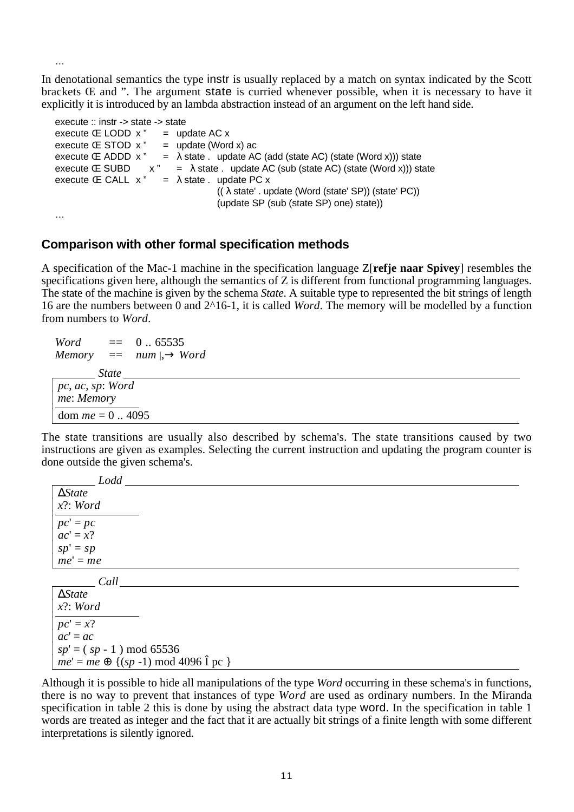In denotational semantics the type instr is usually replaced by a match on syntax indicated by the Scott brackets Œ and ". The argument state is curried whenever possible, when it is necessary to have it explicitly it is introduced by an lambda abstraction instead of an argument on the left hand side.

```
execute :: instr -> state -> state
execute (E LODD x'' = update AC x
execute CE STOD x'' = update (Word x) ac
execute Œ ADDD x " = \lambda state . update AC (add (state AC) (state (Word x))) state
execute Œ SUBD x'' = \lambda state . update AC (sub (state AC) (state (Word x))) state
execute Œ CALL x'' = \lambda state . update PC x
                                              (( \lambda \text{ state}^{\prime} \cdot \text{update} \cdot (\text{Word} \cdot (\text{state}^{\prime} \cdot \text{SP})) \cdot (\text{state}^{\prime} \cdot \text{PC}))(update SP (sub (state SP) one) state))
…
```
# **Comparison with other formal specification methods**

…

A specification of the Mac-1 machine in the specification language Z[**refje naar Spivey**] resembles the specifications given here, although the semantics of Z is different from functional programming languages. The state of the machine is given by the schema *State*. A suitable type to represented the bit strings of length 16 are the numbers between 0 and 2^16-1, it is called *Word*. The memory will be modelled by a function from numbers to *Word*.

|                   |              | $Word = 065535$                    |
|-------------------|--------------|------------------------------------|
|                   |              | Memory $==$ num $\rightarrow$ Word |
|                   | <i>State</i> |                                    |
| pc, ac, sp: Word  |              |                                    |
| me: Memory        |              |                                    |
| dom $me = 0$ 4095 |              |                                    |

The state transitions are usually also described by schema's. The state transitions caused by two instructions are given as examples. Selecting the current instruction and updating the program counter is done outside the given schema's.

| Lodd                                                                                     |  |
|------------------------------------------------------------------------------------------|--|
| $\Delta State$                                                                           |  |
| $x$ ?: Word                                                                              |  |
| $\begin{array}{r}\n\overline{pc' = pc} \\ ac' = x? \\ sp' = sp \\ me' = me\n\end{array}$ |  |
|                                                                                          |  |
|                                                                                          |  |
|                                                                                          |  |
| Call                                                                                     |  |
| $\Delta State$                                                                           |  |
| $x$ ?: Word                                                                              |  |
| $pc' = x?$                                                                               |  |

 $ac' = ac$ *sp*' = ( *sp* - 1 ) mod 65536  $me' = me \oplus \{(sp -1) \mod 4096 \text{ } \hat{1} \text{ } pc \}$ 

Although it is possible to hide all manipulations of the type *Word* occurring in these schema's in functions, there is no way to prevent that instances of type *Word* are used as ordinary numbers. In the Miranda specification in table 2 this is done by using the abstract data type word. In the specification in table 1 words are treated as integer and the fact that it are actually bit strings of a finite length with some different interpretations is silently ignored.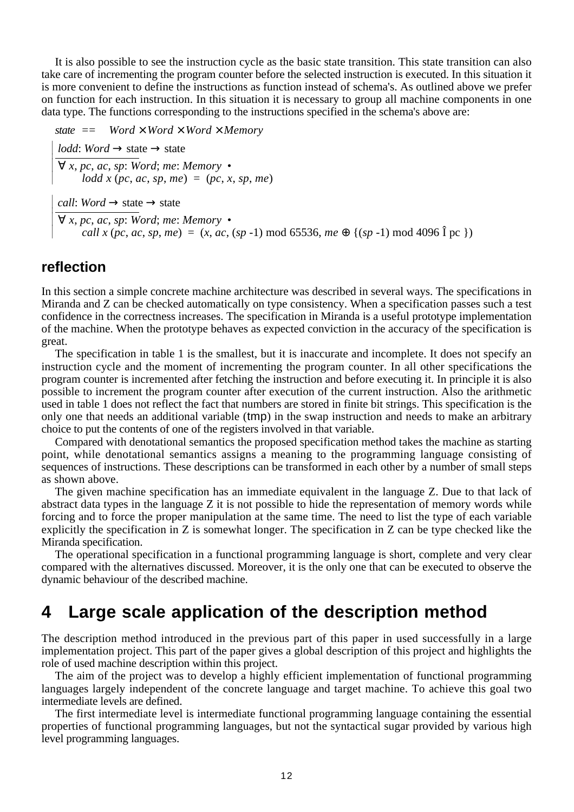It is also possible to see the instruction cycle as the basic state transition. This state transition can also take care of incrementing the program counter before the selected instruction is executed. In this situation it is more convenient to define the instructions as function instead of schema's. As outlined above we prefer on function for each instruction. In this situation it is necessary to group all machine components in one data type. The functions corresponding to the instructions specified in the schema's above are:

*state* == *Word* × *Word* × *Word* × *Memory lodd*: *Word* → state → state ∀ *x*, *pc*, *ac*, *sp*: *Word*; *me*: *Memory* • *lodd x* (*pc*, *ac*, *sp*, *me*) = (*pc*, *x*, *sp*, *me*)  *call*: *Word* → state → state ∀ *x*, *pc*, *ac*, *sp*: *Word*; *me*: *Memory* • *call x* (*pc*, *ac*, *sp*, *me*) = (*x*, *ac*, (*sp* -1) mod 65536, *me*  $\oplus$  {(*sp* -1) mod 4096  $\hat{I}$  pc })

### **reflection**

In this section a simple concrete machine architecture was described in several ways. The specifications in Miranda and Z can be checked automatically on type consistency. When a specification passes such a test confidence in the correctness increases. The specification in Miranda is a useful prototype implementation of the machine. When the prototype behaves as expected conviction in the accuracy of the specification is great.

The specification in table 1 is the smallest, but it is inaccurate and incomplete. It does not specify an instruction cycle and the moment of incrementing the program counter. In all other specifications the program counter is incremented after fetching the instruction and before executing it. In principle it is also possible to increment the program counter after execution of the current instruction. Also the arithmetic used in table 1 does not reflect the fact that numbers are stored in finite bit strings. This specification is the only one that needs an additional variable (tmp) in the swap instruction and needs to make an arbitrary choice to put the contents of one of the registers involved in that variable.

Compared with denotational semantics the proposed specification method takes the machine as starting point, while denotational semantics assigns a meaning to the programming language consisting of sequences of instructions. These descriptions can be transformed in each other by a number of small steps as shown above.

The given machine specification has an immediate equivalent in the language Z. Due to that lack of abstract data types in the language Z it is not possible to hide the representation of memory words while forcing and to force the proper manipulation at the same time. The need to list the type of each variable explicitly the specification in Z is somewhat longer. The specification in Z can be type checked like the Miranda specification.

The operational specification in a functional programming language is short, complete and very clear compared with the alternatives discussed. Moreover, it is the only one that can be executed to observe the dynamic behaviour of the described machine.

# **4 Large scale application of the description method**

The description method introduced in the previous part of this paper in used successfully in a large implementation project. This part of the paper gives a global description of this project and highlights the role of used machine description within this project.

The aim of the project was to develop a highly efficient implementation of functional programming languages largely independent of the concrete language and target machine. To achieve this goal two intermediate levels are defined.

The first intermediate level is intermediate functional programming language containing the essential properties of functional programming languages, but not the syntactical sugar provided by various high level programming languages.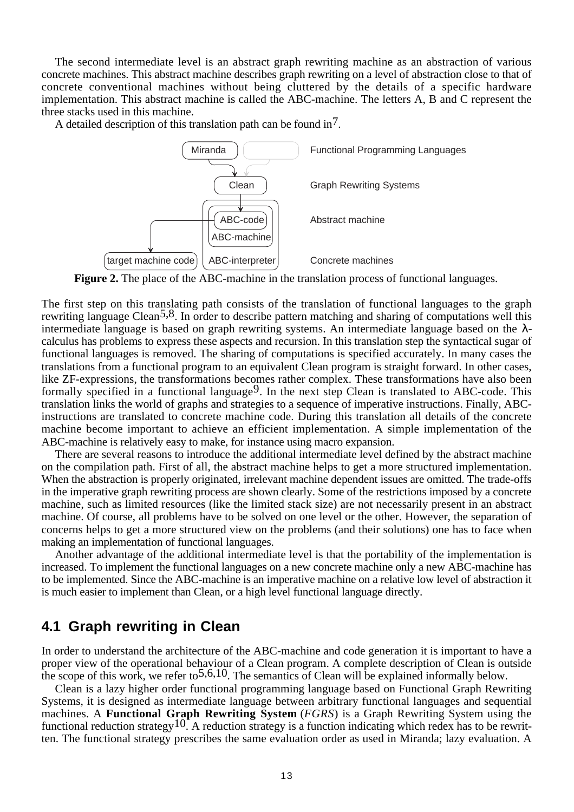The second intermediate level is an abstract graph rewriting machine as an abstraction of various concrete machines. This abstract machine describes graph rewriting on a level of abstraction close to that of concrete conventional machines without being cluttered by the details of a specific hardware implementation. This abstract machine is called the ABC-machine. The letters A, B and C represent the three stacks used in this machine.

A detailed description of this translation path can be found in<sup>7</sup>.



**Figure 2.** The place of the ABC-machine in the translation process of functional languages.

The first step on this translating path consists of the translation of functional languages to the graph rewriting language Clean<sup>5,8</sup>. In order to describe pattern matching and sharing of computations well this intermediate language is based on graph rewriting systems. An intermediate language based on the  $\lambda$ calculus has problems to express these aspects and recursion. In this translation step the syntactical sugar of functional languages is removed. The sharing of computations is specified accurately. In many cases the translations from a functional program to an equivalent Clean program is straight forward. In other cases, like ZF-expressions, the transformations becomes rather complex. These transformations have also been formally specified in a functional language<sup>9</sup>. In the next step Clean is translated to ABC-code. This translation links the world of graphs and strategies to a sequence of imperative instructions. Finally, ABCinstructions are translated to concrete machine code. During this translation all details of the concrete machine become important to achieve an efficient implementation. A simple implementation of the ABC-machine is relatively easy to make, for instance using macro expansion.

There are several reasons to introduce the additional intermediate level defined by the abstract machine on the compilation path. First of all, the abstract machine helps to get a more structured implementation. When the abstraction is properly originated, irrelevant machine dependent issues are omitted. The trade-offs in the imperative graph rewriting process are shown clearly. Some of the restrictions imposed by a concrete machine, such as limited resources (like the limited stack size) are not necessarily present in an abstract machine. Of course, all problems have to be solved on one level or the other. However, the separation of concerns helps to get a more structured view on the problems (and their solutions) one has to face when making an implementation of functional languages.

Another advantage of the additional intermediate level is that the portability of the implementation is increased. To implement the functional languages on a new concrete machine only a new ABC-machine has to be implemented. Since the ABC-machine is an imperative machine on a relative low level of abstraction it is much easier to implement than Clean, or a high level functional language directly.

# **4.1 Graph rewriting in Clean**

In order to understand the architecture of the ABC-machine and code generation it is important to have a proper view of the operational behaviour of a Clean program. A complete description of Clean is outside the scope of this work, we refer to  $5,6,10$ . The semantics of Clean will be explained informally below.

Clean is a lazy higher order functional programming language based on Functional Graph Rewriting Systems, it is designed as intermediate language between arbitrary functional languages and sequential machines. A **Functional Graph Rewriting System** (*FGRS*) is a Graph Rewriting System using the functional reduction strategy<sup>10</sup>. A reduction strategy is a function indicating which redex has to be rewritten. The functional strategy prescribes the same evaluation order as used in Miranda; lazy evaluation. A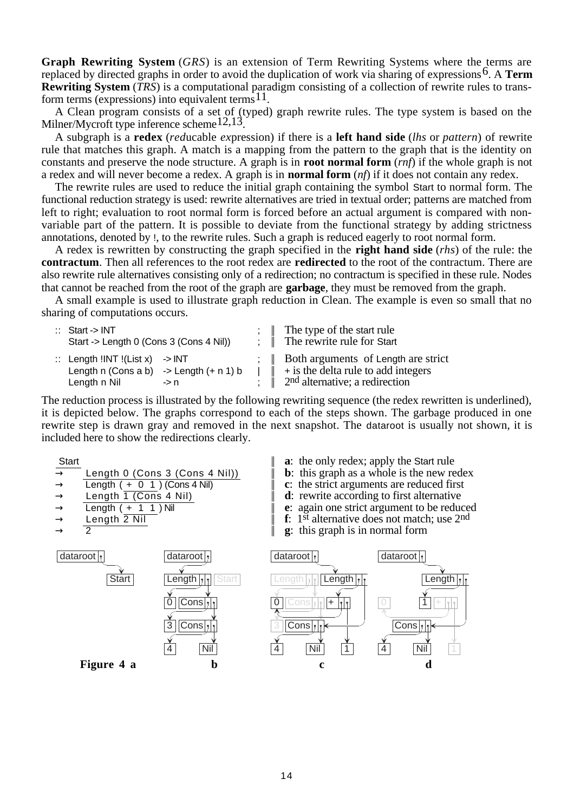**Graph Rewriting System** (*GRS*) is an extension of Term Rewriting Systems where the terms are replaced by directed graphs in order to avoid the duplication of work via sharing of expressions6. A **Term Rewriting System** (*TRS*) is a computational paradigm consisting of a collection of rewrite rules to transform terms (expressions) into equivalent terms<sup>11</sup>.

A Clean program consists of a set of (typed) graph rewrite rules. The type system is based on the Milner/Mycroft type inference scheme<sup>12,13</sup>.

A subgraph is a **redex** (*red*ucable *ex*pression) if there is a **left hand side** (*lhs* or *pattern*) of rewrite rule that matches this graph. A match is a mapping from the pattern to the graph that is the identity on constants and preserve the node structure. A graph is in **root normal form** (*rnf*) if the whole graph is not a redex and will never become a redex. A graph is in **normal form** (*nf*) if it does not contain any redex.

The rewrite rules are used to reduce the initial graph containing the symbol Start to normal form. The functional reduction strategy is used: rewrite alternatives are tried in textual order; patterns are matched from left to right; evaluation to root normal form is forced before an actual argument is compared with nonvariable part of the pattern. It is possible to deviate from the functional strategy by adding strictness annotations, denoted by !, to the rewrite rules. Such a graph is reduced eagerly to root normal form.

A redex is rewritten by constructing the graph specified in the **right hand side** (*rhs*) of the rule: the **contractum**. Then all references to the root redex are **redirected** to the root of the contractum. There are also rewrite rule alternatives consisting only of a redirection; no contractum is specified in these rule. Nodes that cannot be reached from the root of the graph are **garbage**, they must be removed from the graph.

A small example is used to illustrate graph reduction in Clean. The example is even so small that no sharing of computations occurs.

| $\therefore$ Start -> INT<br>Start -> Length 0 (Cons 3 (Cons 4 Nil))                                                          |  | $\frac{1}{2}$ The type of the start rule<br>$\parallel$ The rewrite rule for Start                                                                             |
|-------------------------------------------------------------------------------------------------------------------------------|--|----------------------------------------------------------------------------------------------------------------------------------------------------------------|
| $\therefore$ Length !INT !(List x) $\rightarrow$ INT<br>Length $n$ (Cons $a$ b) -> Length $(+ n 1) b$<br>Length n Nil<br>-> n |  | $\parallel$ Both arguments of Length are strict<br>$\parallel$ + is the delta rule to add integers<br>$\frac{1}{2}$ 2 <sup>nd</sup> alternative; a redirection |

The reduction process is illustrated by the following rewriting sequence (the redex rewritten is underlined), it is depicted below. The graphs correspond to each of the steps shown. The garbage produced in one rewrite step is drawn gray and removed in the next snapshot. The dataroot is usually not shown, it is included here to show the redirections clearly.

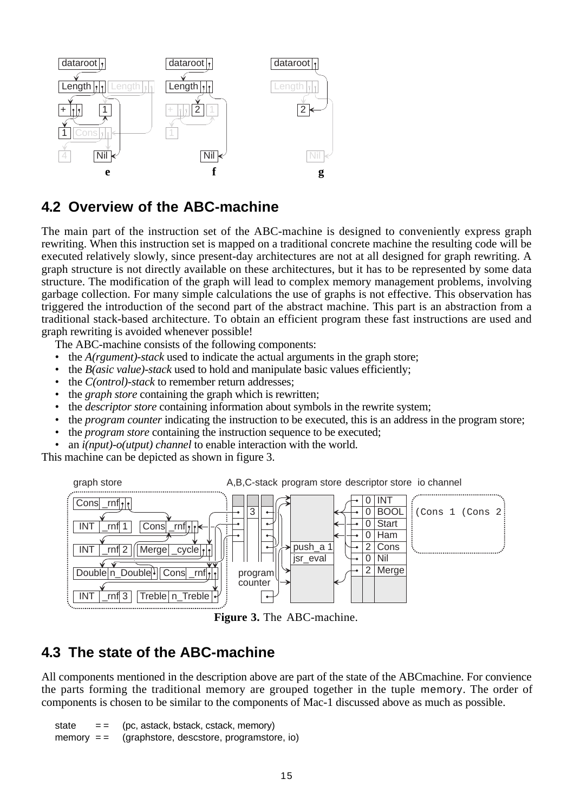

# **4.2 Overview of the ABC-machine**

The main part of the instruction set of the ABC-machine is designed to conveniently express graph rewriting. When this instruction set is mapped on a traditional concrete machine the resulting code will be executed relatively slowly, since present-day architectures are not at all designed for graph rewriting. A graph structure is not directly available on these architectures, but it has to be represented by some data structure. The modification of the graph will lead to complex memory management problems, involving garbage collection. For many simple calculations the use of graphs is not effective. This observation has triggered the introduction of the second part of the abstract machine. This part is an abstraction from a traditional stack-based architecture. To obtain an efficient program these fast instructions are used and graph rewriting is avoided whenever possible!

The ABC-machine consists of the following components:

- the *A(rgument)-stack* used to indicate the actual arguments in the graph store;
- the *B(asic value)-stack* used to hold and manipulate basic values efficiently;
- the *C(ontrol)-stack* to remember return addresses;
- the *graph store* containing the graph which is rewritten;
- the *descriptor store* containing information about symbols in the rewrite system;
- the *program counter* indicating the instruction to be executed, this is an address in the program store;
- the *program store* containing the instruction sequence to be executed;
- an *i(nput)-o(utput) channel* to enable interaction with the world.

This machine can be depicted as shown in figure 3.



**Figure 3.** The ABC-machine.

# **4.3 The state of the ABC-machine**

All components mentioned in the description above are part of the state of the ABCmachine. For convience the parts forming the traditional memory are grouped together in the tuple memory. The order of components is chosen to be similar to the components of Mac-1 discussed above as much as possible.

state  $=$   $=$  (pc, astack, bstack, cstack, memory) memory  $=$  (graphstore, descstore, programstore, io)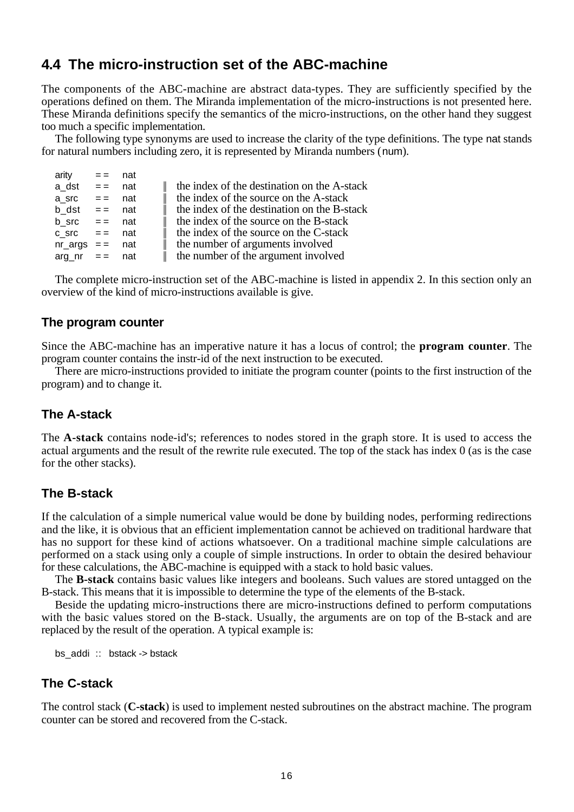# **4.4 The micro-instruction set of the ABC-machine**

The components of the ABC-machine are abstract data-types. They are sufficiently specified by the operations defined on them. The Miranda implementation of the micro-instructions is not presented here. These Miranda definitions specify the semantics of the micro-instructions, on the other hand they suggest too much a specific implementation.

The following type synonyms are used to increase the clarity of the type definitions. The type nat stands for natural numbers including zero, it is represented by Miranda numbers (num).

| arity                  | $=$ $=$ | nat |                                             |
|------------------------|---------|-----|---------------------------------------------|
| a_dst                  | $=$ $=$ | nat | the index of the destination on the A-stack |
| a src                  | $=$ $=$ | nat | the index of the source on the A-stack      |
| b dst                  | $=$ $=$ | nat | the index of the destination on the B-stack |
| $b$ src $=$            |         | nat | the index of the source on the B-stack      |
| $C_Src =$              |         | nat | the index of the source on the C-stack      |
| $nr_{\text{args}}$ = = |         | nat | the number of arguments involved            |
| $arg_nr ==$            |         | nat | the number of the argument involved         |

The complete micro-instruction set of the ABC-machine is listed in appendix 2. In this section only an overview of the kind of micro-instructions available is give.

#### **The program counter**

Since the ABC-machine has an imperative nature it has a locus of control; the **program counter**. The program counter contains the instr-id of the next instruction to be executed.

There are micro-instructions provided to initiate the program counter (points to the first instruction of the program) and to change it.

### **The A-stack**

The **A-stack** contains node-id's; references to nodes stored in the graph store. It is used to access the actual arguments and the result of the rewrite rule executed. The top of the stack has index 0 (as is the case for the other stacks).

#### **The B-stack**

If the calculation of a simple numerical value would be done by building nodes, performing redirections and the like, it is obvious that an efficient implementation cannot be achieved on traditional hardware that has no support for these kind of actions whatsoever. On a traditional machine simple calculations are performed on a stack using only a couple of simple instructions. In order to obtain the desired behaviour for these calculations, the ABC-machine is equipped with a stack to hold basic values.

The **B-stack** contains basic values like integers and booleans. Such values are stored untagged on the B-stack. This means that it is impossible to determine the type of the elements of the B-stack.

Beside the updating micro-instructions there are micro-instructions defined to perform computations with the basic values stored on the B-stack. Usually, the arguments are on top of the B-stack and are replaced by the result of the operation. A typical example is:

bs\_addi :: bstack -> bstack

### **The C-stack**

The control stack (**C-stack**) is used to implement nested subroutines on the abstract machine. The program counter can be stored and recovered from the C-stack.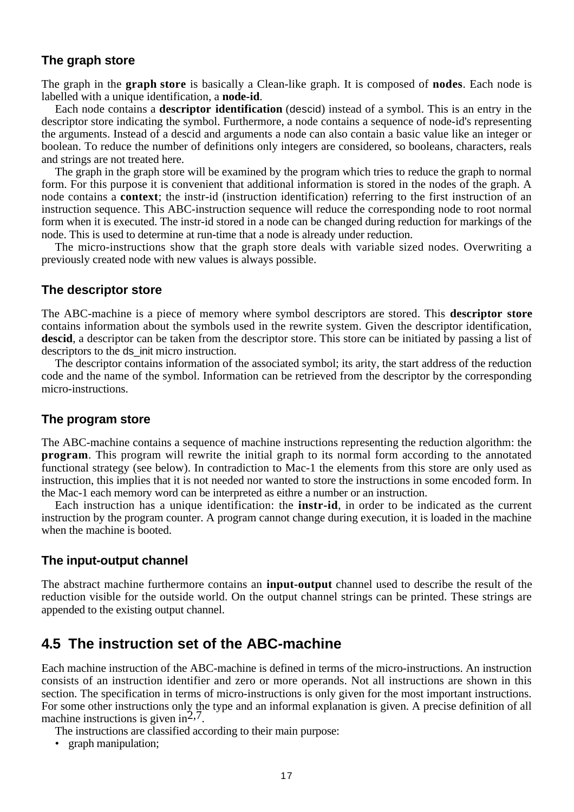#### **The graph store**

The graph in the **graph store** is basically a Clean-like graph. It is composed of **nodes**. Each node is labelled with a unique identification, a **node-id**.

Each node contains a **descriptor identification** (descid) instead of a symbol. This is an entry in the descriptor store indicating the symbol. Furthermore, a node contains a sequence of node-id's representing the arguments. Instead of a descid and arguments a node can also contain a basic value like an integer or boolean. To reduce the number of definitions only integers are considered, so booleans, characters, reals and strings are not treated here.

The graph in the graph store will be examined by the program which tries to reduce the graph to normal form. For this purpose it is convenient that additional information is stored in the nodes of the graph. A node contains a **context**; the instr-id (instruction identification) referring to the first instruction of an instruction sequence. This ABC-instruction sequence will reduce the corresponding node to root normal form when it is executed. The instr-id stored in a node can be changed during reduction for markings of the node. This is used to determine at run-time that a node is already under reduction.

The micro-instructions show that the graph store deals with variable sized nodes. Overwriting a previously created node with new values is always possible.

#### **The descriptor store**

The ABC-machine is a piece of memory where symbol descriptors are stored. This **descriptor store** contains information about the symbols used in the rewrite system. Given the descriptor identification, **descid**, a descriptor can be taken from the descriptor store. This store can be initiated by passing a list of descriptors to the ds\_init micro instruction.

The descriptor contains information of the associated symbol; its arity, the start address of the reduction code and the name of the symbol. Information can be retrieved from the descriptor by the corresponding micro-instructions.

#### **The program store**

The ABC-machine contains a sequence of machine instructions representing the reduction algorithm: the **program**. This program will rewrite the initial graph to its normal form according to the annotated functional strategy (see below). In contradiction to Mac-1 the elements from this store are only used as instruction, this implies that it is not needed nor wanted to store the instructions in some encoded form. In the Mac-1 each memory word can be interpreted as eithre a number or an instruction.

Each instruction has a unique identification: the **instr-id**, in order to be indicated as the current instruction by the program counter. A program cannot change during execution, it is loaded in the machine when the machine is booted.

#### **The input-output channel**

The abstract machine furthermore contains an **input-output** channel used to describe the result of the reduction visible for the outside world. On the output channel strings can be printed. These strings are appended to the existing output channel.

## **4.5 The instruction set of the ABC-machine**

Each machine instruction of the ABC-machine is defined in terms of the micro-instructions. An instruction consists of an instruction identifier and zero or more operands. Not all instructions are shown in this section. The specification in terms of micro-instructions is only given for the most important instructions. For some other instructions only the type and an informal explanation is given. A precise definition of all machine instructions is given in  $2,7$ .

The instructions are classified according to their main purpose:

• graph manipulation;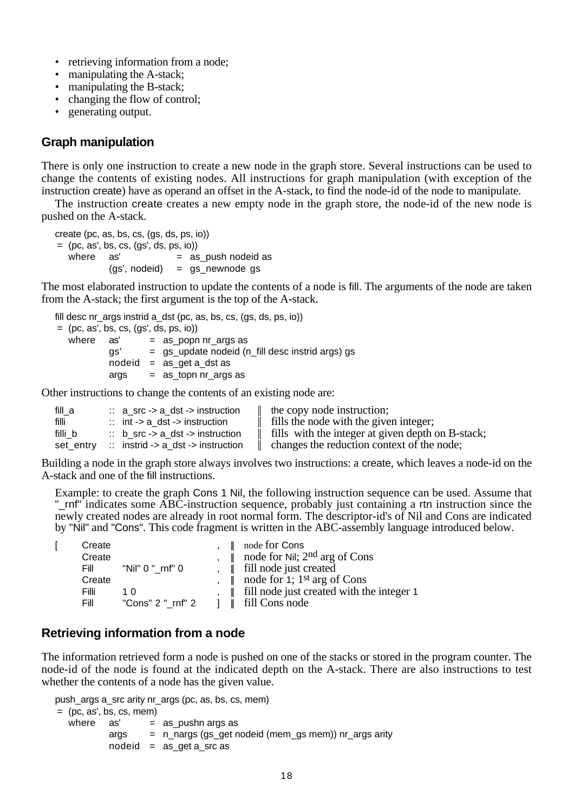- retrieving information from a node:
- manipulating the A-stack;
- manipulating the B-stack:
- changing the flow of control;
- generating output.

#### **Graph manipulation**

There is only one instruction to create a new node in the graph store. Several instructions can be used to change the contents of existing nodes. All instructions for graph manipulation (with exception of the instruction create) have as operand an offset in the A-stack, to find the node-id of the node to manipulate.

The instruction create creates a new empty node in the graph store, the node-id of the new node is pushed on the A-stack.

create (pc, as, bs, cs, (gs, ds, ps, io))  $=$  (pc, as', bs, cs, (gs', ds, ps, io)) where  $as' = as$  push nodeid as (gs', nodeid) = gs\_newnode gs

The most elaborated instruction to update the contents of a node is fill. The arguments of the node are taken from the A-stack; the first argument is the top of the A-stack.

fill desc nr\_args instrid a\_dst (pc, as, bs, cs, (gs, ds, ps, io))  $=$  (pc, as', bs, cs, (gs', ds, ps, io)) where  $as' = as\_popn nr\_args$  as gs' = gs\_update nodeid (n\_fill desc instrid args) gs  $nodeid = as.get a_dst$  as  $args = as\_topn nr\_args as$ 

Other instructions to change the contents of an existing node are:

| fill a    | $\therefore$ a_src -> a_dst -> instruction   | the copy node instruction;                                    |
|-----------|----------------------------------------------|---------------------------------------------------------------|
| filli     | $\therefore$ int -> a dst -> instruction     | fills the node with the given integer;                        |
| filli b   | $\therefore$ b src -> a dst -> instruction   | $\parallel$ fills with the integer at given depth on B-stack; |
| set entry | $\therefore$ instrid -> a_dst -> instruction | changes the reduction context of the node;                    |

Building a node in the graph store always involves two instructions: a create, which leaves a node-id on the A-stack and one of the fill instructions.

Example: to create the graph Cons 1 Nil, the following instruction sequence can be used. Assume that "\_rnf" indicates some ABC-instruction sequence, probably just containing a rtn instruction since the newly created nodes are already in root normal form. The descriptor-id's of Nil and Cons are indicated by "Nil" and "Cons". This code fragment is written in the ABC-assembly language introduced below.

| Create |                   |  | node for Cons                             |
|--------|-------------------|--|-------------------------------------------|
| Create |                   |  | node for Nil; 2 <sup>nd</sup> arg of Cons |
| Fill   | "Nil" 0 " rnf" 0  |  | fill node just created                    |
| Create |                   |  | node for 1; 1 <sup>st</sup> arg of Cons   |
| Filli  | 1 በ               |  | fill node just created with the integer 1 |
| Fill   | "Cons" 2 " rnf" 2 |  | fill Cons node                            |
|        |                   |  |                                           |

#### **Retrieving information from a node**

The information retrieved form a node is pushed on one of the stacks or stored in the program counter. The node-id of the node is found at the indicated depth on the A-stack. There are also instructions to test whether the contents of a node has the given value.

push args a src arity nr args (pc, as, bs, cs, mem)  $=$  (pc, as', bs, cs, mem) where  $as' = as$  pushn args as args  $=$  n nargs (gs get nodeid (mem gs mem)) nr args arity nodeid = as get a src as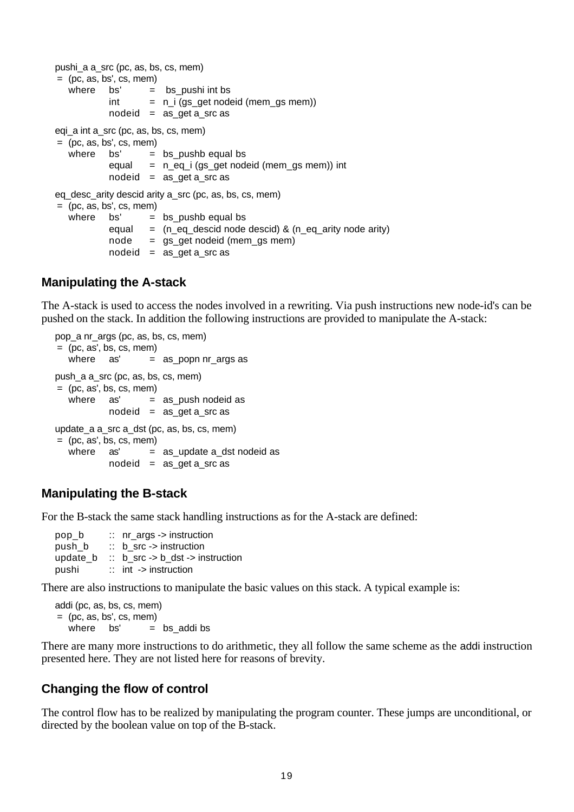pushi a a src (pc, as, bs, cs, mem)  $=$  (pc, as, bs', cs, mem) where bs' = bs\_pushi int bs  $int = n_i (gs\_get \text{ nodeid} (\text{mem\_gs \text{ mem}}))$ nodeid = as get a src as eqi a int a src (pc, as, bs, cs, mem)  $=$  (pc, as, bs', cs, mem) where  $bs' = bs$  pushb equal bs equal = n eq i (gs get nodeid (mem gs mem)) int nodeid = as get a src as eq desc arity descid arity a src (pc, as, bs, cs, mem)  $=$  (pc, as, bs', cs, mem) where  $bs' = bs$  pushb equal bs equal =  $(n$  eq descid node descid) &  $(n$  eq arity node arity)  $node = \text{as} \text{get} \text{node}$  (mem\_qs mem) nodeid = as get a src as

### **Manipulating the A-stack**

The A-stack is used to access the nodes involved in a rewriting. Via push instructions new node-id's can be pushed on the stack. In addition the following instructions are provided to manipulate the A-stack:

```
pop a nr args (pc, as, bs, cs, mem)
= (pc, as', bs, cs, mem)
  where as' = aspopn nr args aspush a a src (pc, as, bs, cs, mem)
= (pc, as', bs, cs, mem)
  where as' = as push nodeid as
           nodeid = as\_get a\_src asupdate_a a_src a_dst (pc, as, bs, cs, mem)
= (pc, as', bs, cs, mem)
  where as' = as\_update a\_dst \text{ node} as
           nodeid = as\_get a\_src as
```
### **Manipulating the B-stack**

For the B-stack the same stack handling instructions as for the A-stack are defined:

pop b :: nr\_args -> instruction push b :: b\_src -> instruction update\_b :: b\_src -> b\_dst -> instruction pushi :: int -> instruction

There are also instructions to manipulate the basic values on this stack. A typical example is:

```
addi (pc, as, bs, cs, mem)
= (pc, as, bs', cs, mem)
  where bs' = bs addi bs
```
There are many more instructions to do arithmetic, they all follow the same scheme as the addi instruction presented here. They are not listed here for reasons of brevity.

### **Changing the flow of control**

The control flow has to be realized by manipulating the program counter. These jumps are unconditional, or directed by the boolean value on top of the B-stack.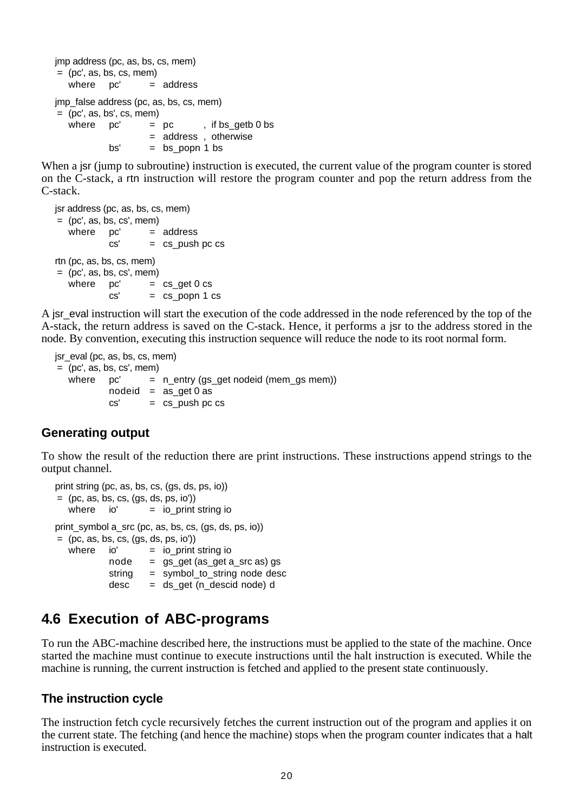```
imp address (pc, as, bs, cs, mem)
= (pc', as, bs, cs, mem)
  where pc' = addressimp false address (pc, as, bs, cs, mem)
= (pc', as, bs', cs, mem)
  where pc' = pc, if bs_getb 0 bs
                  = address , otherwise
          bs' = bs popn 1 bs
```
When a jsr (jump to subroutine) instruction is executed, the current value of the program counter is stored on the C-stack, a rtn instruction will restore the program counter and pop the return address from the C-stack.

```
jsr address (pc, as, bs, cs, mem)
= (pc', as, bs, cs', mem)
  where pc' = address
          cs' = cs push pc csrtn (pc, as, bs, cs, mem)
= (pc', as, bs, cs', mem)
  where pc' = cs det 0 cs
          cs' = cs\_popn 1 cs
```
A jsr\_eval instruction will start the execution of the code addressed in the node referenced by the top of the A-stack, the return address is saved on the C-stack. Hence, it performs a jsr to the address stored in the node. By convention, executing this instruction sequence will reduce the node to its root normal form.

```
isr_eval (pc, as, bs, cs, mem)
= (pc', as, bs, cs', mem)
  where pc' = n entry (gs_get nodeid (mem_gs mem))
          nodeid = as.get 0 ascs' = cs push pc cs
```
### **Generating output**

To show the result of the reduction there are print instructions. These instructions append strings to the output channel.

```
print string (pc, as, bs, cs, (gs, ds, ps, io))
= (pc, as, bs, cs, (gs, ds, ps, io'))
   where \omega' = i\omega print string io
print_symbol a_src (pc, as, bs, cs, (gs, ds, ps, io))
= (pc, as, bs, cs, (gs, ds, ps, io'))
   where \omega' = i\omega-print string io
            node = gs\_get (as\_get a\_src as) gs
            string = symbol_to_string node desc
            desc = ds_get (n_descid node) d
```
# **4.6 Execution of ABC-programs**

To run the ABC-machine described here, the instructions must be applied to the state of the machine. Once started the machine must continue to execute instructions until the halt instruction is executed. While the machine is running, the current instruction is fetched and applied to the present state continuously.

### **The instruction cycle**

The instruction fetch cycle recursively fetches the current instruction out of the program and applies it on the current state. The fetching (and hence the machine) stops when the program counter indicates that a halt instruction is executed.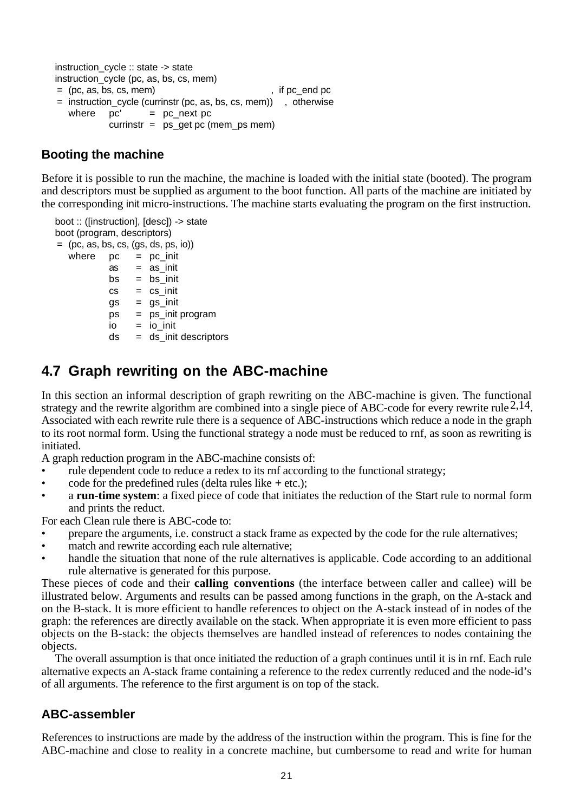```
instruction cycle :: state -> state
instruction cycle (pc, as, bs, cs, mem)
= (pc, as, bs, cs, mem) , if pc_end pc
= instruction cycle (currinstr (pc, as, bs, cs, mem)) , otherwise
  where pc' = pc next pc
          currinstr = ps get pc (mem ps mem)
```
### **Booting the machine**

Before it is possible to run the machine, the machine is loaded with the initial state (booted). The program and descriptors must be supplied as argument to the boot function. All parts of the machine are initiated by the corresponding init micro-instructions. The machine starts evaluating the program on the first instruction.

```
boot :: ([instruction], [desc]) -> state
boot (program, descriptors)
= (pc, as, bs, cs, (gs, ds, ps, io))
   where pc = pc_init
           as = as initbs = bs init
           cs = cs init
            \text{qs} = \text{qs} init
            ps = ps_init program
            io = io_init
            ds = ds_init descriptors
```
# **4.7 Graph rewriting on the ABC-machine**

In this section an informal description of graph rewriting on the ABC-machine is given. The functional strategy and the rewrite algorithm are combined into a single piece of ABC-code for every rewrite rule  $2,14$ . Associated with each rewrite rule there is a sequence of ABC-instructions which reduce a node in the graph to its root normal form. Using the functional strategy a node must be reduced to rnf, as soon as rewriting is initiated.

A graph reduction program in the ABC-machine consists of:

- rule dependent code to reduce a redex to its rnf according to the functional strategy;
- code for the predefined rules (delta rules like + etc.);
- a **run-time system**: a fixed piece of code that initiates the reduction of the Start rule to normal form and prints the reduct.

For each Clean rule there is ABC-code to:

- prepare the arguments, i.e. construct a stack frame as expected by the code for the rule alternatives;
- match and rewrite according each rule alternative;
- handle the situation that none of the rule alternatives is applicable. Code according to an additional rule alternative is generated for this purpose.

These pieces of code and their **calling conventions** (the interface between caller and callee) will be illustrated below. Arguments and results can be passed among functions in the graph, on the A-stack and on the B-stack. It is more efficient to handle references to object on the A-stack instead of in nodes of the graph: the references are directly available on the stack. When appropriate it is even more efficient to pass objects on the B-stack: the objects themselves are handled instead of references to nodes containing the objects.

The overall assumption is that once initiated the reduction of a graph continues until it is in rnf. Each rule alternative expects an A-stack frame containing a reference to the redex currently reduced and the node-id's of all arguments. The reference to the first argument is on top of the stack.

## **ABC-assembler**

References to instructions are made by the address of the instruction within the program. This is fine for the ABC-machine and close to reality in a concrete machine, but cumbersome to read and write for human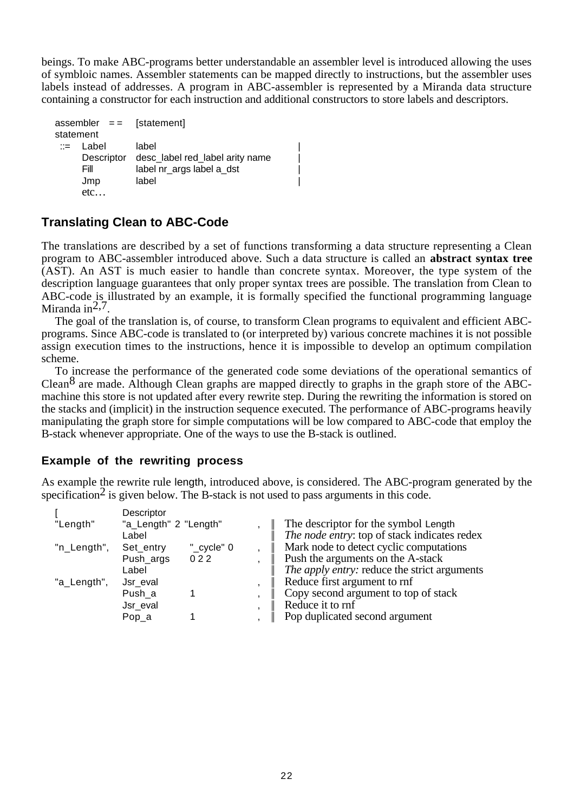beings. To make ABC-programs better understandable an assembler level is introduced allowing the uses of symbloic names. Assembler statements can be mapped directly to instructions, but the assembler uses labels instead of addresses. A program in ABC-assembler is represented by a Miranda data structure containing a constructor for each instruction and additional constructors to store labels and descriptors.

|                | $assember = [statement]$                   |  |
|----------------|--------------------------------------------|--|
| statement      |                                            |  |
| $\equiv$ Label | label                                      |  |
|                | Descriptor desc_label red_label arity name |  |
| Fill           | label nr_args label a_dst                  |  |
| Jmp            | label                                      |  |
| etc            |                                            |  |
|                |                                            |  |

## **Translating Clean to ABC-Code**

The translations are described by a set of functions transforming a data structure representing a Clean program to ABC-assembler introduced above. Such a data structure is called an **abstract syntax tree** (AST). An AST is much easier to handle than concrete syntax. Moreover, the type system of the description language guarantees that only proper syntax trees are possible. The translation from Clean to ABC-code is illustrated by an example, it is formally specified the functional programming language Miranda in $2,7$ .

The goal of the translation is, of course, to transform Clean programs to equivalent and efficient ABCprograms. Since ABC-code is translated to (or interpreted by) various concrete machines it is not possible assign execution times to the instructions, hence it is impossible to develop an optimum compilation scheme.

To increase the performance of the generated code some deviations of the operational semantics of Clean<sup>8</sup> are made. Although Clean graphs are mapped directly to graphs in the graph store of the ABCmachine this store is not updated after every rewrite step. During the rewriting the information is stored on the stacks and (implicit) in the instruction sequence executed. The performance of ABC-programs heavily manipulating the graph store for simple computations will be low compared to ABC-code that employ the B-stack whenever appropriate. One of the ways to use the B-stack is outlined.

### **Example of the rewriting process**

As example the rewrite rule length, introduced above, is considered. The ABC-program generated by the specification<sup>2</sup> is given below. The B-stack is not used to pass arguments in this code.

|             | Descriptor            |            |  |                                              |
|-------------|-----------------------|------------|--|----------------------------------------------|
| "Length"    | "a_Length" 2 "Length" |            |  | The descriptor for the symbol Length         |
|             | Label                 |            |  | The node entry: top of stack indicates redex |
| "n_Length", | Set_entry             | "_cycle" 0 |  | Mark node to detect cyclic computations      |
|             | Push_args             | 022        |  | Push the arguments on the A-stack            |
|             | Label                 |            |  | The apply entry: reduce the strict arguments |
| "a_Length", | Jsr eval              |            |  | Reduce first argument to rnf                 |
|             | Push a                |            |  | Copy second argument to top of stack         |
|             | Jsr eval              |            |  | Reduce it to rnf                             |
|             | Pop_a                 |            |  | Pop duplicated second argument               |
|             |                       |            |  |                                              |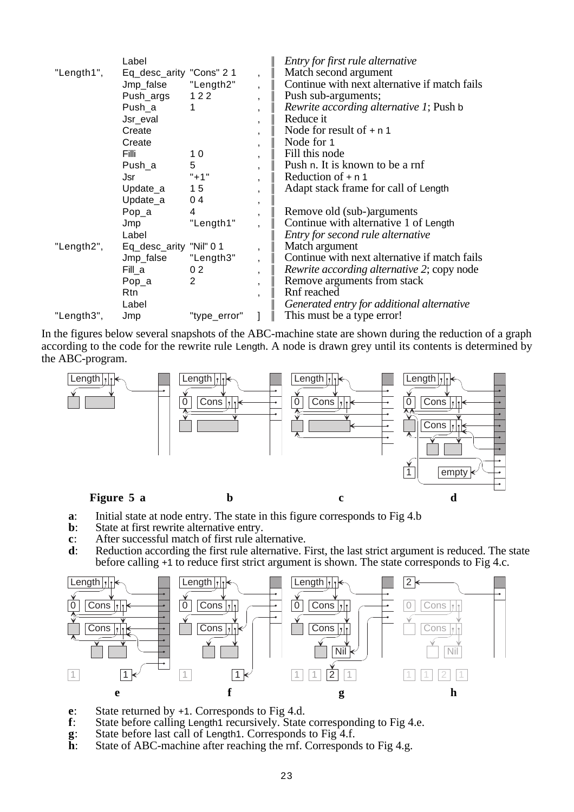|            | Label                    |              |                          | Entry for first rule alternative                  |
|------------|--------------------------|--------------|--------------------------|---------------------------------------------------|
| "Length1", | Eq_desc_arity "Cons" 2 1 |              | $\overline{ }$           | Match second argument                             |
|            | Jmp_false                | "Length2"    |                          | Continue with next alternative if match fails     |
|            | Push_args                | 122          |                          | Push sub-arguments;                               |
|            | Push_a                   | 1            |                          | <i>Rewrite according alternative 1; Push b</i>    |
|            | Jsr_eval                 |              | $\cdot$                  | Reduce it                                         |
|            | Create                   |              | $\overline{\phantom{a}}$ | Node for result of $+ n 1$                        |
|            | Create                   |              | $\overline{ }$           | Node for 1                                        |
|            | Filli                    | 10           |                          | Fill this node                                    |
|            | Push_a                   | 5            | $\overline{ }$           | Push n. It is known to be a rnf                   |
|            | Jsr                      | $"+1"$       | $\cdot$                  | Reduction of $+ n 1$                              |
|            | Update_a                 | 15           | $\overline{ }$           | Adapt stack frame for call of Length              |
|            | Update_a                 | 04           | $\overline{ }$           |                                                   |
|            | $Pop_a$                  | 4            | $\overline{ }$           | Remove old (sub-)arguments                        |
|            | Jmp                      | "Length1"    |                          | Continue with alternative 1 of Length             |
|            | Label                    |              |                          | Entry for second rule alternative                 |
| "Length2", | Eq_desc_arity "Nil" 0 1  |              | $\overline{ }$           | Match argument                                    |
|            | Jmp_false                | "Length3"    | $\overline{ }$           | Continue with next alternative if match fails     |
|            | Fill_a                   | 02           | $\overline{ }$           | <i>Rewrite according alternative 2; copy node</i> |
|            | $Pop_a$                  | 2            | $\overline{ }$           | Remove arguments from stack                       |
|            | Rtn                      |              |                          | Rnf reached                                       |
|            | Label                    |              |                          | Generated entry for additional alternative        |
| "Length3", | Jmp                      | "type_error" |                          | This must be a type error!                        |

In the figures below several snapshots of the ABC-machine state are shown during the reduction of a graph according to the code for the rewrite rule Length. A node is drawn grey until its contents is determined by the ABC-program.



- **a**: Initial state at node entry. The state in this figure corresponds to Fig 4.b
- **b**: State at first rewrite alternative entry.
- **c**: After successful match of first rule alternative.<br>**d**: Reduction according the first rule alternative.
- Reduction according the first rule alternative. First, the last strict argument is reduced. The state before calling  $+1$  to reduce first strict argument is shown. The state corresponds to Fig 4.c.



- **e**: State returned by +1. Corresponds to Fig 4.d.<br>**f**: State before calling Length 1 recursively. State
- *State before calling Length1 recursively. State corresponding to Fig 4.e.*
- **g**: State before last call of Length1. Corresponds to Fig 4.f.<br> **h**: State of ABC-machine after reaching the rnf. Correspond
- State of ABC-machine after reaching the rnf. Corresponds to Fig 4.g.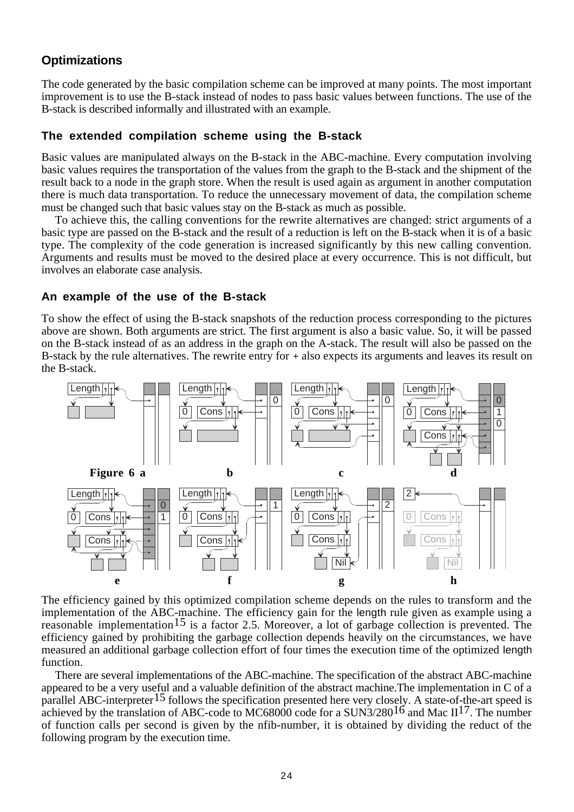### **Optimizations**

The code generated by the basic compilation scheme can be improved at many points. The most important improvement is to use the B-stack instead of nodes to pass basic values between functions. The use of the B-stack is described informally and illustrated with an example.

#### **The extended compilation scheme using the B-stack**

Basic values are manipulated always on the B-stack in the ABC-machine. Every computation involving basic values requires the transportation of the values from the graph to the B-stack and the shipment of the result back to a node in the graph store. When the result is used again as argument in another computation there is much data transportation. To reduce the unnecessary movement of data, the compilation scheme must be changed such that basic values stay on the B-stack as much as possible.

To achieve this, the calling conventions for the rewrite alternatives are changed: strict arguments of a basic type are passed on the B-stack and the result of a reduction is left on the B-stack when it is of a basic type. The complexity of the code generation is increased significantly by this new calling convention. Arguments and results must be moved to the desired place at every occurrence. This is not difficult, but involves an elaborate case analysis.

#### **An example of the use of the B-stack**

To show the effect of using the B-stack snapshots of the reduction process corresponding to the pictures above are shown. Both arguments are strict. The first argument is also a basic value. So, it will be passed on the B-stack instead of as an address in the graph on the A-stack. The result will also be passed on the B-stack by the rule alternatives. The rewrite entry for + also expects its arguments and leaves its result on the B-stack.



The efficiency gained by this optimized compilation scheme depends on the rules to transform and the implementation of the ABC-machine. The efficiency gain for the length rule given as example using a reasonable implementation<sup>15</sup> is a factor 2.5. Moreover, a lot of garbage collection is prevented. The efficiency gained by prohibiting the garbage collection depends heavily on the circumstances, we have measured an additional garbage collection effort of four times the execution time of the optimized length function.

There are several implementations of the ABC-machine. The specification of the abstract ABC-machine appeared to be a very useful and a valuable definition of the abstract machine.The implementation in C of a parallel ABC-interpreter<sup>15</sup> follows the specification presented here very closely. A state-of-the-art speed is achieved by the translation of ABC-code to MC68000 code for a  $\text{SUN3}/280^{16}$  and Mac II<sup>17</sup>. The number of function calls per second is given by the nfib-number, it is obtained by dividing the reduct of the following program by the execution time.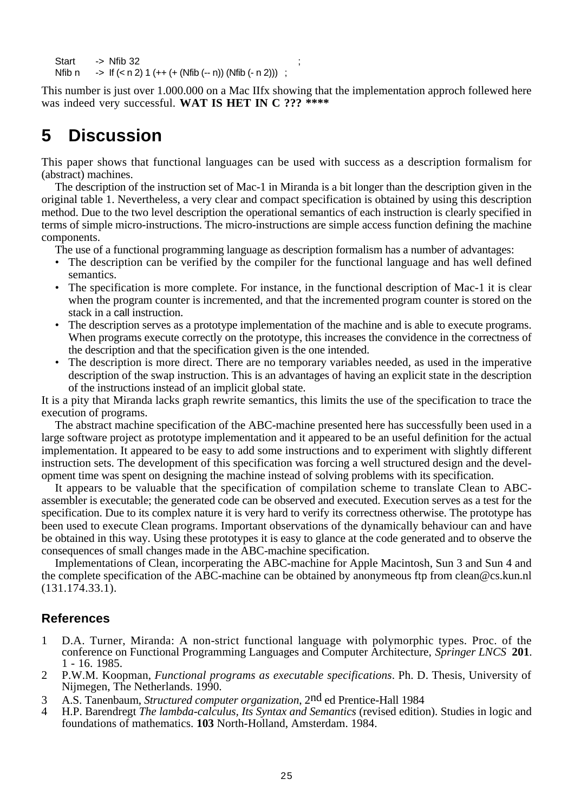Start  $\qquad$  -> Nfib 32 Nfib n  $\rightarrow$  If (< n 2) 1 (++ (+ (Nfib (-- n)) (Nfib (- n 2))) :

This number is just over 1.000.000 on a Mac IIfx showing that the implementation approch follewed here was indeed very successful. **WAT IS HET IN C ??? \*\*\*\***

# **5 Discussion**

This paper shows that functional languages can be used with success as a description formalism for (abstract) machines.

The description of the instruction set of Mac-1 in Miranda is a bit longer than the description given in the original table 1. Nevertheless, a very clear and compact specification is obtained by using this description method. Due to the two level description the operational semantics of each instruction is clearly specified in terms of simple micro-instructions. The micro-instructions are simple access function defining the machine components.

The use of a functional programming language as description formalism has a number of advantages:

- The description can be verified by the compiler for the functional language and has well defined semantics.
- The specification is more complete. For instance, in the functional description of Mac-1 it is clear when the program counter is incremented, and that the incremented program counter is stored on the stack in a call instruction.
- The description serves as a prototype implementation of the machine and is able to execute programs. When programs execute correctly on the prototype, this increases the convidence in the correctness of the description and that the specification given is the one intended.
- The description is more direct. There are no temporary variables needed, as used in the imperative description of the swap instruction. This is an advantages of having an explicit state in the description of the instructions instead of an implicit global state.

It is a pity that Miranda lacks graph rewrite semantics, this limits the use of the specification to trace the execution of programs.

The abstract machine specification of the ABC-machine presented here has successfully been used in a large software project as prototype implementation and it appeared to be an useful definition for the actual implementation. It appeared to be easy to add some instructions and to experiment with slightly different instruction sets. The development of this specification was forcing a well structured design and the development time was spent on designing the machine instead of solving problems with its specification.

It appears to be valuable that the specification of compilation scheme to translate Clean to ABCassembler is executable; the generated code can be observed and executed. Execution serves as a test for the specification. Due to its complex nature it is very hard to verify its correctness otherwise. The prototype has been used to execute Clean programs. Important observations of the dynamically behaviour can and have be obtained in this way. Using these prototypes it is easy to glance at the code generated and to observe the consequences of small changes made in the ABC-machine specification.

Implementations of Clean, incorperating the ABC-machine for Apple Macintosh, Sun 3 and Sun 4 and the complete specification of the ABC-machine can be obtained by anonymeous ftp from clean@cs.kun.nl (131.174.33.1).

#### **References**

- 1 D.A. Turner, Miranda: A non-strict functional language with polymorphic types. Proc. of the conference on Functional Programming Languages and Computer Architecture, *Springer LNCS* **201**. 1 - 16. 1985.
- 2 P.W.M. Koopman, *Functional programs as executable specifications*. Ph. D. Thesis, University of Nijmegen, The Netherlands. 1990.
- 3 A.S. Tanenbaum, *Structured computer organization*, 2nd ed Prentice-Hall 1984
- 4 H.P. Barendregt *The lambda-calculus, Its Syntax and Semantics* (revised edition). Studies in logic and foundations of mathematics. **103** North-Holland, Amsterdam. 1984.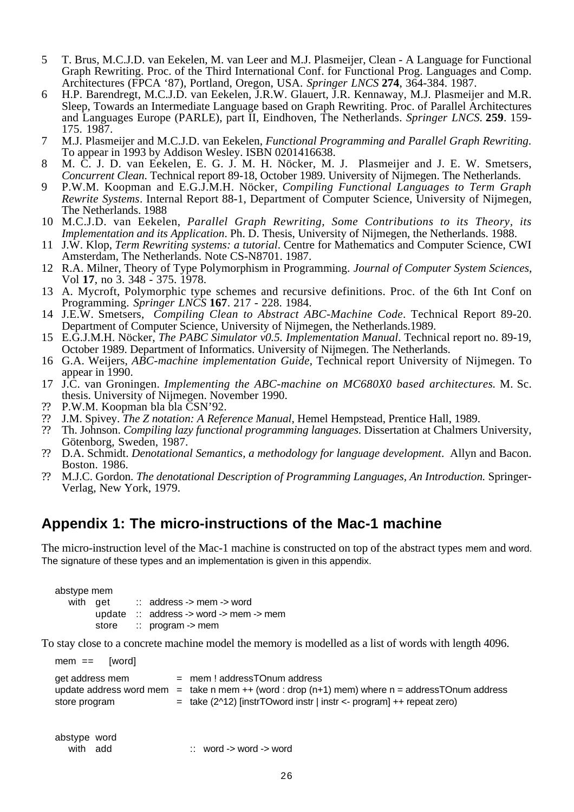- 5 T. Brus, M.C.J.D. van Eekelen, M. van Leer and M.J. Plasmeijer, Clean A Language for Functional Graph Rewriting. Proc. of the Third International Conf. for Functional Prog. Languages and Comp. Architectures (FPCA '87), Portland, Oregon, USA. *Springer LNCS* **274**, 364-384. 1987.
- 6 H.P. Barendregt, M.C.J.D. van Eekelen, J.R.W. Glauert, J.R. Kennaway, M.J. Plasmeijer and M.R. Sleep, Towards an Intermediate Language based on Graph Rewriting. Proc. of Parallel Architectures and Languages Europe (PARLE), part II, Eindhoven, The Netherlands. *Springer LNCS.* **259**. 159- 175. 1987.
- 7 M.J. Plasmeijer and M.C.J.D. van Eekelen, *Functional Programming and Parallel Graph Rewriting*. To appear in 1993 by Addison Wesley. ISBN 0201416638.
- 8 M. C. J. D. van Eekelen, E. G. J. M. H. Nöcker, M. J. Plasmeijer and J. E. W. Smetsers, *Concurrent Clean*. Technical report 89-18, October 1989. University of Nijmegen. The Netherlands.
- 9 P.W.M. Koopman and E.G.J.M.H. Nöcker, *Compiling Functional Languages to Term Graph Rewrite Systems*. Internal Report 88-1, Department of Computer Science, University of Nijmegen, The Netherlands. 1988
- 10 M.C.J.D. van Eekelen, *Parallel Graph Rewriting, Some Contributions to its Theory, its Implementation and its Application*. Ph. D. Thesis, University of Nijmegen, the Netherlands. 1988.
- 11 J.W. Klop, *Term Rewriting systems: a tutorial*. Centre for Mathematics and Computer Science, CWI Amsterdam, The Netherlands. Note CS-N8701. 1987.
- 12 R.A. Milner, Theory of Type Polymorphism in Programming. *Journal of Computer System Sciences*, Vol **17**, no 3. 348 - 375. 1978.
- 13 A. Mycroft, Polymorphic type schemes and recursive definitions. Proc. of the 6th Int Conf on Programming. *Springer LNCS* **167**. 217 - 228. 1984.
- 14 J.E.W. Smetsers, *Compiling Clean to Abstract ABC-Machine Code*. Technical Report 89-20. Department of Computer Science, University of Nijmegen, the Netherlands.1989.
- 15 E.G.J.M.H. Nöcker, *The PABC Simulator v0.5. Implementation Manual*. Technical report no. 89-19, October 1989. Department of Informatics. University of Nijmegen. The Netherlands.
- 16 G.A. Weijers, *ABC-machine implementation Guide*, Technical report University of Nijmegen. To appear in 1990.
- 17 J.C. van Groningen. *Implementing the ABC-machine on MC680X0 based architectures.* M. Sc. thesis. University of Nijmegen. November 1990.
- ?? P.W.M. Koopman bla bla  $\text{CSN'}92$ .<br>?? I.M. Spivey The Z notation: A Refe
- ?? J.M. Spivey. *The Z notation: A Reference Manual*, Hemel Hempstead, Prentice Hall, 1989.
- ?? Th. Johnson. *Compiling lazy functional programming languages*. Dissertation at Chalmers University, Götenborg, Sweden, 1987.
- ?? D.A. Schmidt. *Denotational Semantics, a methodology for language development*. Allyn and Bacon. Boston. 1986.
- ?? M.J.C. Gordon. *The denotational Description of Programming Languages, An Introduction.* Springer-Verlag, New York, 1979.

## **Appendix 1: The micro-instructions of the Mac-1 machine**

The micro-instruction level of the Mac-1 machine is constructed on top of the abstract types mem and word. The signature of these types and an implementation is given in this appendix.

abstype mem with get  $\therefore$  address -> mem -> word update :: address -> word -> mem -> mem store :: program -> mem

To stay close to a concrete machine model the memory is modelled as a list of words with length 4096.

mem == [word]  $get$  address mem  $=$  mem ! addressTOnum address update address word mem  $=$  take n mem  $++$  (word : drop (n+1) mem) where n = addressTOnum address store program  $=$  take ( $2^M2$ ) [instrTOword instr | instr <- program]  $++$  repeat zero) abstype word with add :: word -> word -> word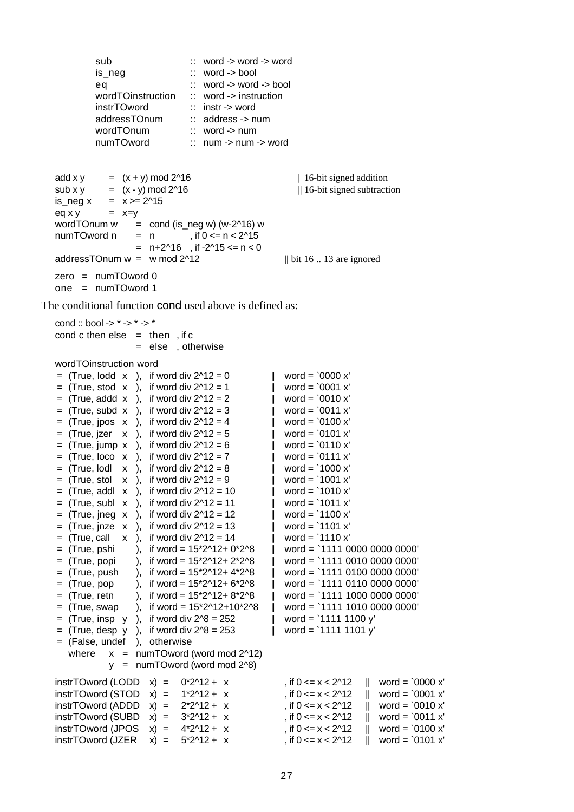sub :: word -> word -> word is neg  $\therefore$  word -> bool eq :: word -> word -> bool wordTOinstruction :: word -> instruction instrTOword :: instr -> word addressTOnum :: address -> num wordTOnum :: word -> num numTOword :: num -> num -> word add x y  $= (x + y) \mod 2^{\wedge 16}$  || 16-bit signed addition sub x y  $= (x - y) \mod 2^x 16$  || 16-bit signed subtraction is\_neg  $x = x \ge 2^15$  $eqxy = x=y$ wordTOnum  $w = \text{cond}$  (is\_neg w) (w-2^16) w  $numTOword n = n$ , if  $0 \le n \le 2^15$  $=$  n+2^16, if -2^15  $\leq$  n  $<$  0 addressTOnum  $w = w \mod 2^M 2$  || bit 16 .. 13 are ignored  $zero = numTOword 0$  $one = numTOword 1$ The conditional function cond used above is defined as: cond :: bool ->  $*$  ->  $*$  ->  $*$ cond c then  $else = then$ , if c = else , otherwise wordTOinstruction word  $=$  (True, lodd x ), if word div  $2^x/12 = 0$  || word = `0000 x'  $=$  (True, stod x ), if word div  $2^{x}12 = 1$  || word = `0001 x' = (True, addd x ), if word div  $2^M2 = 2$  || word = `0010 x' = (True, subd x ), if word div  $2^M2 = 3$  || word = `0011 x'  $=$  (True, jpos x ), if word div 2^12 = 4  $||$  word = `0100 x'  $=$  (True, jzer x ), if word div  $2^{x}12 = 5$  || word = `0101 x'  $=$  (True, jump x ), if word div  $2^{x}12 = 6$  || word = `0110 x'  $=$  (True, loco x ), if word div  $2^{x}12 = 7$  || word = `0111 x'  $=$  (True, lodl x ), if word div  $2^{x}12 = 8$  || word = `1000 x'  $=$  (True, stol x ), if word div  $2^{x}12 = 9$  || word = `1001 x' = (True, addl x ), if word div  $2^M2 = 10$  || word = `1010 x'  $=$  (True, subl x ), if word div  $2^M2 = 11$  || word = `1011 x'  $=$  (True, jneg x ), if word div  $2^M2 = 12$  || word = `1100 x'  $=$  (True, jnze x ), if word div  $2^M2 = 13$  || word = `1101 x'  $=$  (True, call x ), if word div  $2^{x}12 = 14$  || word = `1110 x'  $=$  (True, pshi ), if word = 15<sup>\*</sup>2^12+ 0<sup>\*</sup>2^8 || word = `1111 0000 0000 0000'  $=$  (True, popi ), if word = 15\*2^12+ 2\*2^8 || word = `1111 0010 0000 0000'  $=$  (True, push ), if word = 15\*2^12+ 4\*2^8 || word = `1111 0100 0000 0000'  $=$  (True, pop ), if word  $= 15*2^{\circ}12+6*2^{\circ}8$  || word  $=$  1111 0110 0000 0000  $=$  (True, retn ), if word = 15\*2^12+ 8\*2^8 || word = `1111 1000 0000 0000'  $=$  (True, swap ), if word = 15\*2^12+10\*2^8 || word = `1111 1010 0000 0000'  $=$  (True, insp y ), if word div  $2^8 = 252$  || word = `1111 1100 y'  $=$  (True, desp y ), if word div  $2^8 = 253$  || word = `1111 1101 y'  $=$  (False, undef ), otherwise where  $x = numTOword (word mod 2<sup>1</sup>2)$  $y = numTOword (word mod 2^8)$  $\text{instr}$  TOword (LODD x) =  $0 \times 2 \times 12 + x$  , if  $0 \le x \le 2 \times 12$  || word = `0000 x' instrTOword (STOD x) =  $1*2^x/12 + x$  , if 0 <= x < 2^12 || word = `0001 x'  $\text{instr}$ TOword (ADDD x) = 2\*2^12 + x , if 0 <= x < 2^12  $\parallel$  word = `0010 x' instrTOword (SUBD x) =  $3*2^2$ 12 + x , if 0 <= x < 2^12 || word = `0011 x'  $\text{instr}$ TOword (JPOS x) = 4\*2^12 + x , if 0 <= x < 2^12 || word = `0100 x' instrTOword (JZER  $x$ ) = 5<sup>\*2^12</sup> + x , if 0 <= x < 2^12 || word = `0101 x'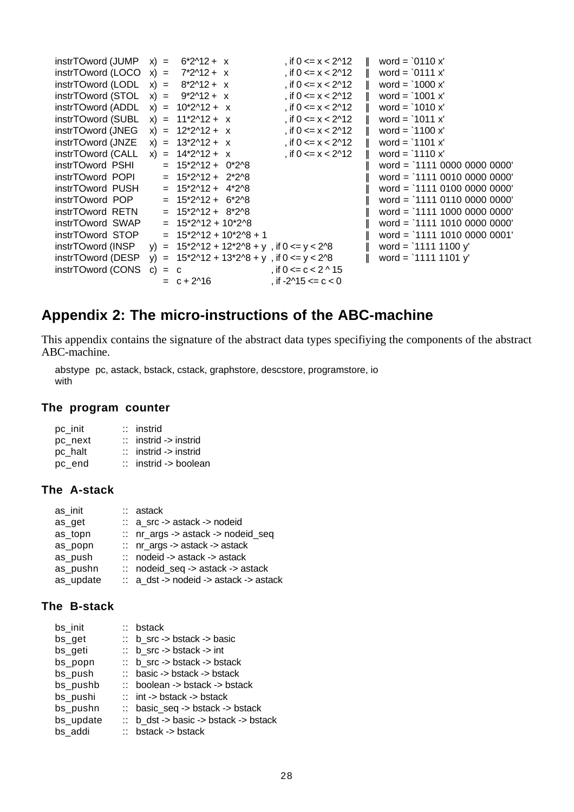| instrTOword (JUMP | $x =$       | $6*2^M2 + x$                                                    | , if $0 \le x \le 2^12$   | word = $0110 x'$             |
|-------------------|-------------|-----------------------------------------------------------------|---------------------------|------------------------------|
| instrTOword (LOCO |             | $x$ ) = 7*2^12 + x                                              | , if $0 \le x \le 2^12$   | word = $0111 x'$             |
| instrTOword (LODL | $x =$       | $8*2^12 + x$                                                    | , if $0 \le x \le 2^12$   | word = $1000 x'$             |
| instrTOword (STOL |             | $x$ ) = 9 <sup>*</sup> 2^12 + x                                 | , if $0 \le x \le 2^12$   | word = $1001 x'$             |
| instrTOword (ADDL | $x =$       | $10^*2^{12} + x$                                                | , if $0 \le x \le 2^12$   | word = $1010 x'$             |
| instrTOword (SUBL | X)<br>$=$   | $11^*2^12 + x$                                                  | , if $0 \le x \le 2^12$   | word = $1011 x'$             |
| instrTOword (JNEG | $x =$       | $12^*2^12 + x$                                                  | , if $0 \le x \le 2^12$   | word = $1100 x'$             |
| instrTOword (JNZE |             | $x$ ) = 13*2^12 + x                                             | , if $0 \le x \le 2^x 12$ | word = $1101 x'$             |
| instrTOword (CALL | $x =$       | $14*2^M2 + x$                                                   | , if $0 \le x \le 2^12$   | word = $1110 x'$             |
| instrTOword PSHI  |             | $= 15*2^12 + 0*2^8$                                             |                           | word = $111100000000000$     |
| instrTOword POPI  |             | $= 15*2^12 + 2*2^8$                                             |                           | word = $11110010000000$      |
| instrTOword PUSH  |             | $= 15*2^12 + 4*2^8$                                             |                           | word = $1111$ 0100 0000 0000 |
| instrTOword POP   |             | $= 15*2^12 + 6*2^8$                                             |                           | word = `1111 0110 0000 0000' |
| instrTOword RETN  |             | $= 15*2^12 + 8*2^8$                                             |                           | word = $1111$ 1000 0000 0000 |
| instrTOword SWAP  |             | $= 15*2^12 + 10*2^8$                                            |                           | word = $1111$ 1010 0000 0000 |
| instrTOword STOP  |             | $= 15*2^12 + 10*2^8 + 1$                                        |                           | word = $1111$ 1010 0000 0001 |
| instrTOword (INSP | y)          | $= 15*2^{12} + 12*2^{8} + y$ , if 0 <= y < 2^8                  |                           | word = $1111$ 1100 y'        |
| instrTOword (DESP | V)          | $= 15*2^{0.12} + 13*2^{0.8} + y$ , if 0 <= y < 2 <sup>0</sup> 8 |                           | word = $1111$ 1101 y'        |
| instrTOword (CONS | C)<br>$= C$ |                                                                 | , if 0 <= c < 2 ^ 15      |                              |
|                   |             | = c+2^16                                                        | , if $-2^{15} < c < 0$    |                              |

# **Appendix 2: The micro-instructions of the ABC-machine**

This appendix contains the signature of the abstract data types specifiying the components of the abstract ABC-machine.

abstype pc, astack, bstack, cstack, graphstore, descstore, programstore, io with

### **The program counter**

| pc_init | $\therefore$ instrid            |
|---------|---------------------------------|
| pc next | $\therefore$ instrid -> instrid |
| pc_halt | $\therefore$ instrid -> instrid |
| pc_end  | $\therefore$ instrid -> boolean |

#### **The A-stack**

| as init   | $\therefore$ astack                              |
|-----------|--------------------------------------------------|
| as_get    | $\therefore$ a_src -> astack -> nodeid           |
| as_topn   | $\therefore$ nr_args -> astack -> nodeid_seq     |
| as_popn   | $\therefore$ nr_args -> astack -> astack         |
| as_push   | $\therefore$ nodeid -> astack -> astack          |
| as_pushn  | $\therefore$ nodeid_seq -> astack -> astack      |
| as_update | $\therefore$ a_dst -> nodeid -> astack -> astack |

#### **The B-stack**

| bs_init   | $\therefore$ bstack                             |
|-----------|-------------------------------------------------|
| bs_get    | $\therefore$ b src -> bstack -> basic           |
| bs_geti   | $\therefore$ b_src -> bstack -> int             |
| bs_popn   | $\therefore$ b src -> bstack -> bstack          |
| bs_push   | $\therefore$ basic -> bstack -> bstack          |
| bs pushb  | $\therefore$ boolean -> bstack -> bstack        |
| bs_pushi  | $\therefore$ int -> bstack -> bstack            |
| bs_pushn  | $\therefore$ basic_seq -> bstack -> bstack      |
| bs update | $\therefore$ b dst -> basic -> bstack -> bstack |
| bs_addi   | $\therefore$ bstack -> bstack                   |